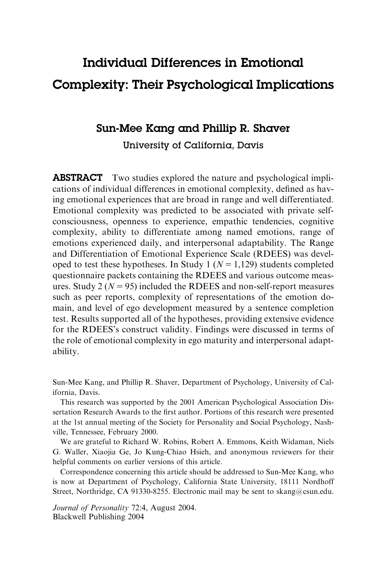# Individual Differences in Emotional Complexity: Their Psychological Implications

## Sun-Mee Kang and Phillip R. Shaver University of California, Davis

**ABSTRACT** Two studies explored the nature and psychological implications of individual differences in emotional complexity, defined as having emotional experiences that are broad in range and well differentiated. Emotional complexity was predicted to be associated with private selfconsciousness, openness to experience, empathic tendencies, cognitive complexity, ability to differentiate among named emotions, range of emotions experienced daily, and interpersonal adaptability. The Range and Differentiation of Emotional Experience Scale (RDEES) was developed to test these hypotheses. In Study 1 ( $N = 1,129$ ) students completed questionnaire packets containing the RDEES and various outcome measures. Study 2 ( $N = 95$ ) included the RDEES and non-self-report measures such as peer reports, complexity of representations of the emotion domain, and level of ego development measured by a sentence completion test. Results supported all of the hypotheses, providing extensive evidence for the RDEES's construct validity. Findings were discussed in terms of the role of emotional complexity in ego maturity and interpersonal adaptability.

Sun-Mee Kang, and Phillip R. Shaver, Department of Psychology, University of California, Davis.

This research was supported by the 2001 American Psychological Association Dissertation Research Awards to the first author. Portions of this research were presented at the 1st annual meeting of the Society for Personality and Social Psychology, Nashville, Tennessee, February 2000.

We are grateful to Richard W. Robins, Robert A. Emmons, Keith Widaman, Niels G. Waller, Xiaojia Ge, Jo Kung-Chiao Hsieh, and anonymous reviewers for their helpful comments on earlier versions of this article.

Correspondence concerning this article should be addressed to Sun-Mee Kang, who is now at Department of Psychology, California State University, 18111 Nordhoff Street, Northridge, CA 91330-8255. Electronic mail may be sent to skang@csun.edu.

Journal of Personality 72:4, August 2004. Blackwell Publishing 2004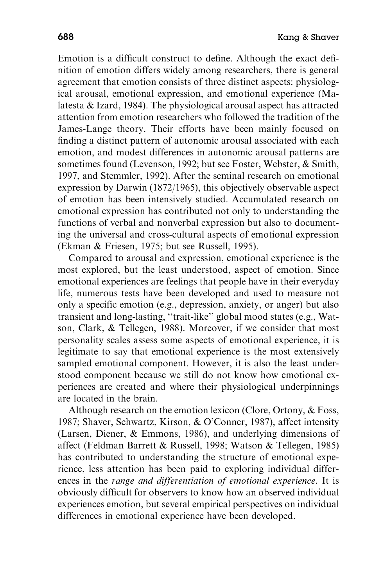Emotion is a difficult construct to define. Although the exact definition of emotion differs widely among researchers, there is general agreement that emotion consists of three distinct aspects: physiological arousal, emotional expression, and emotional experience (Malatesta & Izard, 1984). The physiological arousal aspect has attracted attention from emotion researchers who followed the tradition of the James-Lange theory. Their efforts have been mainly focused on finding a distinct pattern of autonomic arousal associated with each emotion, and modest differences in autonomic arousal patterns are sometimes found (Levenson, 1992; but see Foster, Webster, & Smith, 1997, and Stemmler, 1992). After the seminal research on emotional expression by Darwin (1872/1965), this objectively observable aspect of emotion has been intensively studied. Accumulated research on emotional expression has contributed not only to understanding the functions of verbal and nonverbal expression but also to documenting the universal and cross-cultural aspects of emotional expression (Ekman & Friesen, 1975; but see Russell, 1995).

Compared to arousal and expression, emotional experience is the most explored, but the least understood, aspect of emotion. Since emotional experiences are feelings that people have in their everyday life, numerous tests have been developed and used to measure not only a specific emotion (e.g., depression, anxiety, or anger) but also transient and long-lasting, ''trait-like'' global mood states (e.g., Watson, Clark, & Tellegen, 1988). Moreover, if we consider that most personality scales assess some aspects of emotional experience, it is legitimate to say that emotional experience is the most extensively sampled emotional component. However, it is also the least understood component because we still do not know how emotional experiences are created and where their physiological underpinnings are located in the brain.

Although research on the emotion lexicon (Clore, Ortony, & Foss, 1987; Shaver, Schwartz, Kirson, & O'Conner, 1987), affect intensity (Larsen, Diener, & Emmons, 1986), and underlying dimensions of affect (Feldman Barrett & Russell, 1998; Watson & Tellegen, 1985) has contributed to understanding the structure of emotional experience, less attention has been paid to exploring individual differences in the range and differentiation of emotional experience. It is obviously difficult for observers to know how an observed individual experiences emotion, but several empirical perspectives on individual differences in emotional experience have been developed.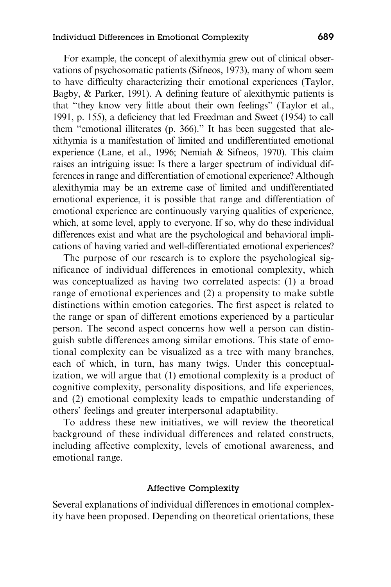For example, the concept of alexithymia grew out of clinical observations of psychosomatic patients (Sifneos, 1973), many of whom seem to have difficulty characterizing their emotional experiences (Taylor, Bagby, & Parker, 1991). A defining feature of alexithymic patients is that ''they know very little about their own feelings'' (Taylor et al., 1991, p. 155), a deficiency that led Freedman and Sweet (1954) to call them ''emotional illiterates (p. 366).'' It has been suggested that alexithymia is a manifestation of limited and undifferentiated emotional experience (Lane, et al., 1996; Nemiah & Sifneos, 1970). This claim raises an intriguing issue: Is there a larger spectrum of individual differences in range and differentiation of emotional experience? Although alexithymia may be an extreme case of limited and undifferentiated emotional experience, it is possible that range and differentiation of emotional experience are continuously varying qualities of experience, which, at some level, apply to everyone. If so, why do these individual differences exist and what are the psychological and behavioral implications of having varied and well-differentiated emotional experiences?

The purpose of our research is to explore the psychological significance of individual differences in emotional complexity, which was conceptualized as having two correlated aspects: (1) a broad range of emotional experiences and (2) a propensity to make subtle distinctions within emotion categories. The first aspect is related to the range or span of different emotions experienced by a particular person. The second aspect concerns how well a person can distinguish subtle differences among similar emotions. This state of emotional complexity can be visualized as a tree with many branches, each of which, in turn, has many twigs. Under this conceptualization, we will argue that (1) emotional complexity is a product of cognitive complexity, personality dispositions, and life experiences, and (2) emotional complexity leads to empathic understanding of others' feelings and greater interpersonal adaptability.

To address these new initiatives, we will review the theoretical background of these individual differences and related constructs, including affective complexity, levels of emotional awareness, and emotional range.

## Affective Complexity

Several explanations of individual differences in emotional complexity have been proposed. Depending on theoretical orientations, these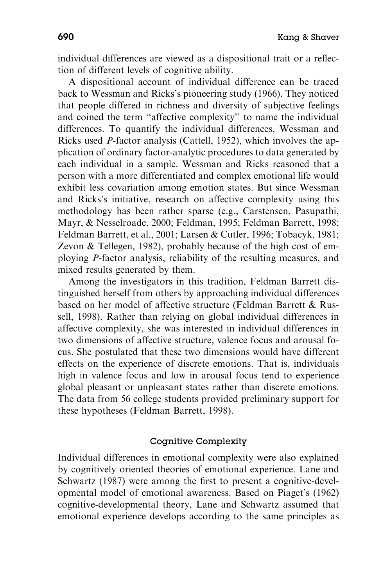individual differences are viewed as a dispositional trait or a reflection of different levels of cognitive ability.

A dispositional account of individual difference can be traced back to Wessman and Ricks's pioneering study (1966). They noticed that people differed in richness and diversity of subjective feelings and coined the term ''affective complexity'' to name the individual differences. To quantify the individual differences, Wessman and Ricks used P-factor analysis (Cattell, 1952), which involves the application of ordinary factor-analytic procedures to data generated by each individual in a sample. Wessman and Ricks reasoned that a person with a more differentiated and complex emotional life would exhibit less covariation among emotion states. But since Wessman and Ricks's initiative, research on affective complexity using this methodology has been rather sparse (e.g., Carstensen, Pasupathi, Mayr, & Nesselroade, 2000; Feldman, 1995; Feldman Barrett, 1998; Feldman Barrett, et al., 2001; Larsen & Cutler, 1996; Tobacyk, 1981; Zevon & Tellegen, 1982), probably because of the high cost of employing P-factor analysis, reliability of the resulting measures, and mixed results generated by them.

Among the investigators in this tradition, Feldman Barrett distinguished herself from others by approaching individual differences based on her model of affective structure (Feldman Barrett & Russell, 1998). Rather than relying on global individual differences in affective complexity, she was interested in individual differences in two dimensions of affective structure, valence focus and arousal focus. She postulated that these two dimensions would have different effects on the experience of discrete emotions. That is, individuals high in valence focus and low in arousal focus tend to experience global pleasant or unpleasant states rather than discrete emotions. The data from 56 college students provided preliminary support for these hypotheses (Feldman Barrett, 1998).

## Cognitive Complexity

Individual differences in emotional complexity were also explained by cognitively oriented theories of emotional experience. Lane and Schwartz (1987) were among the first to present a cognitive-developmental model of emotional awareness. Based on Piaget's (1962) cognitive-developmental theory, Lane and Schwartz assumed that emotional experience develops according to the same principles as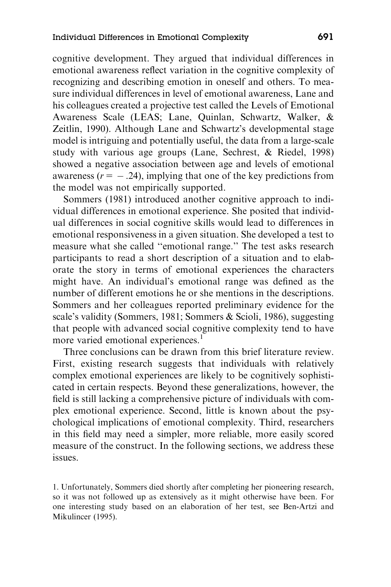cognitive development. They argued that individual differences in emotional awareness reflect variation in the cognitive complexity of recognizing and describing emotion in oneself and others. To measure individual differences in level of emotional awareness, Lane and his colleagues created a projective test called the Levels of Emotional Awareness Scale (LEAS; Lane, Quinlan, Schwartz, Walker, & Zeitlin, 1990). Although Lane and Schwartz's developmental stage model is intriguing and potentially useful, the data from a large-scale study with various age groups (Lane, Sechrest, & Riedel, 1998) showed a negative association between age and levels of emotional awareness  $(r = -.24)$ , implying that one of the key predictions from the model was not empirically supported.

Sommers (1981) introduced another cognitive approach to individual differences in emotional experience. She posited that individual differences in social cognitive skills would lead to differences in emotional responsiveness in a given situation. She developed a test to measure what she called ''emotional range.'' The test asks research participants to read a short description of a situation and to elaborate the story in terms of emotional experiences the characters might have. An individual's emotional range was defined as the number of different emotions he or she mentions in the descriptions. Sommers and her colleagues reported preliminary evidence for the scale's validity (Sommers, 1981; Sommers & Scioli, 1986), suggesting that people with advanced social cognitive complexity tend to have more varied emotional experiences.<sup>1</sup>

Three conclusions can be drawn from this brief literature review. First, existing research suggests that individuals with relatively complex emotional experiences are likely to be cognitively sophisticated in certain respects. Beyond these generalizations, however, the field is still lacking a comprehensive picture of individuals with complex emotional experience. Second, little is known about the psychological implications of emotional complexity. Third, researchers in this field may need a simpler, more reliable, more easily scored measure of the construct. In the following sections, we address these issues.

1. Unfortunately, Sommers died shortly after completing her pioneering research, so it was not followed up as extensively as it might otherwise have been. For one interesting study based on an elaboration of her test, see Ben-Artzi and Mikulincer (1995).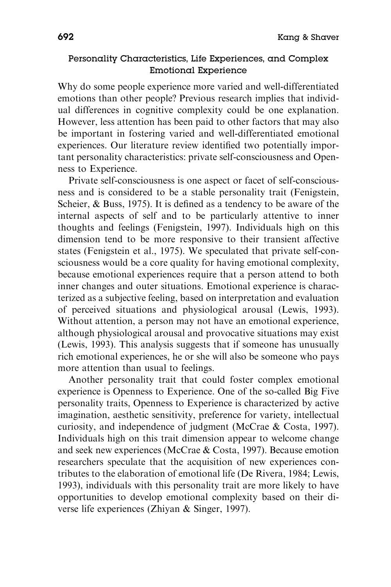## Personality Characteristics, Life Experiences, and Complex Emotional Experience

Why do some people experience more varied and well-differentiated emotions than other people? Previous research implies that individual differences in cognitive complexity could be one explanation. However, less attention has been paid to other factors that may also be important in fostering varied and well-differentiated emotional experiences. Our literature review identified two potentially important personality characteristics: private self-consciousness and Openness to Experience.

Private self-consciousness is one aspect or facet of self-consciousness and is considered to be a stable personality trait (Fenigstein, Scheier, & Buss, 1975). It is defined as a tendency to be aware of the internal aspects of self and to be particularly attentive to inner thoughts and feelings (Fenigstein, 1997). Individuals high on this dimension tend to be more responsive to their transient affective states (Fenigstein et al., 1975). We speculated that private self-consciousness would be a core quality for having emotional complexity, because emotional experiences require that a person attend to both inner changes and outer situations. Emotional experience is characterized as a subjective feeling, based on interpretation and evaluation of perceived situations and physiological arousal (Lewis, 1993). Without attention, a person may not have an emotional experience, although physiological arousal and provocative situations may exist (Lewis, 1993). This analysis suggests that if someone has unusually rich emotional experiences, he or she will also be someone who pays more attention than usual to feelings.

Another personality trait that could foster complex emotional experience is Openness to Experience. One of the so-called Big Five personality traits, Openness to Experience is characterized by active imagination, aesthetic sensitivity, preference for variety, intellectual curiosity, and independence of judgment (McCrae & Costa, 1997). Individuals high on this trait dimension appear to welcome change and seek new experiences (McCrae & Costa, 1997). Because emotion researchers speculate that the acquisition of new experiences contributes to the elaboration of emotional life (De Rivera, 1984; Lewis, 1993), individuals with this personality trait are more likely to have opportunities to develop emotional complexity based on their diverse life experiences (Zhiyan & Singer, 1997).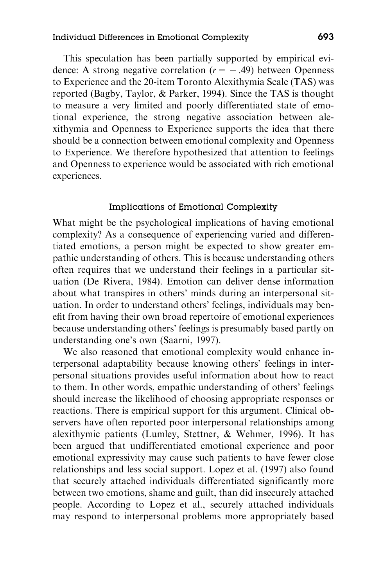This speculation has been partially supported by empirical evidence: A strong negative correlation  $(r = -.49)$  between Openness to Experience and the 20-item Toronto Alexithymia Scale (TAS) was reported (Bagby, Taylor, & Parker, 1994). Since the TAS is thought to measure a very limited and poorly differentiated state of emotional experience, the strong negative association between alexithymia and Openness to Experience supports the idea that there should be a connection between emotional complexity and Openness to Experience. We therefore hypothesized that attention to feelings and Openness to experience would be associated with rich emotional experiences.

## Implications of Emotional Complexity

What might be the psychological implications of having emotional complexity? As a consequence of experiencing varied and differentiated emotions, a person might be expected to show greater empathic understanding of others. This is because understanding others often requires that we understand their feelings in a particular situation (De Rivera, 1984). Emotion can deliver dense information about what transpires in others' minds during an interpersonal situation. In order to understand others' feelings, individuals may benefit from having their own broad repertoire of emotional experiences because understanding others' feelings is presumably based partly on understanding one's own (Saarni, 1997).

We also reasoned that emotional complexity would enhance interpersonal adaptability because knowing others' feelings in interpersonal situations provides useful information about how to react to them. In other words, empathic understanding of others' feelings should increase the likelihood of choosing appropriate responses or reactions. There is empirical support for this argument. Clinical observers have often reported poor interpersonal relationships among alexithymic patients (Lumley, Stettner, & Wehmer, 1996). It has been argued that undifferentiated emotional experience and poor emotional expressivity may cause such patients to have fewer close relationships and less social support. Lopez et al. (1997) also found that securely attached individuals differentiated significantly more between two emotions, shame and guilt, than did insecurely attached people. According to Lopez et al., securely attached individuals may respond to interpersonal problems more appropriately based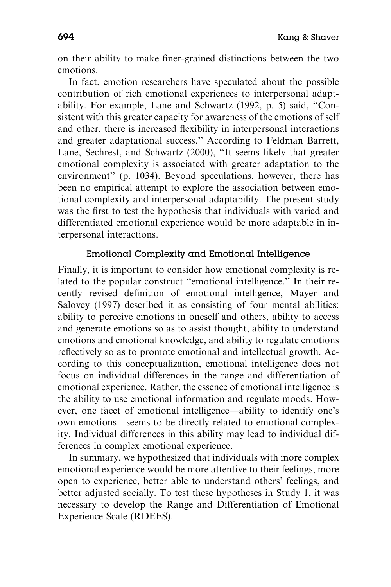on their ability to make finer-grained distinctions between the two emotions.

In fact, emotion researchers have speculated about the possible contribution of rich emotional experiences to interpersonal adaptability. For example, Lane and Schwartz (1992, p. 5) said, ''Consistent with this greater capacity for awareness of the emotions of self and other, there is increased flexibility in interpersonal interactions and greater adaptational success.'' According to Feldman Barrett, Lane, Sechrest, and Schwartz (2000), ''It seems likely that greater emotional complexity is associated with greater adaptation to the environment'' (p. 1034). Beyond speculations, however, there has been no empirical attempt to explore the association between emotional complexity and interpersonal adaptability. The present study was the first to test the hypothesis that individuals with varied and differentiated emotional experience would be more adaptable in interpersonal interactions.

## Emotional Complexity and Emotional Intelligence

Finally, it is important to consider how emotional complexity is related to the popular construct ''emotional intelligence.'' In their recently revised definition of emotional intelligence, Mayer and Salovey (1997) described it as consisting of four mental abilities: ability to perceive emotions in oneself and others, ability to access and generate emotions so as to assist thought, ability to understand emotions and emotional knowledge, and ability to regulate emotions reflectively so as to promote emotional and intellectual growth. According to this conceptualization, emotional intelligence does not focus on individual differences in the range and differentiation of emotional experience. Rather, the essence of emotional intelligence is the ability to use emotional information and regulate moods. However, one facet of emotional intelligence—ability to identify one's own emotions—seems to be directly related to emotional complexity. Individual differences in this ability may lead to individual differences in complex emotional experience.

In summary, we hypothesized that individuals with more complex emotional experience would be more attentive to their feelings, more open to experience, better able to understand others' feelings, and better adjusted socially. To test these hypotheses in Study 1, it was necessary to develop the Range and Differentiation of Emotional Experience Scale (RDEES).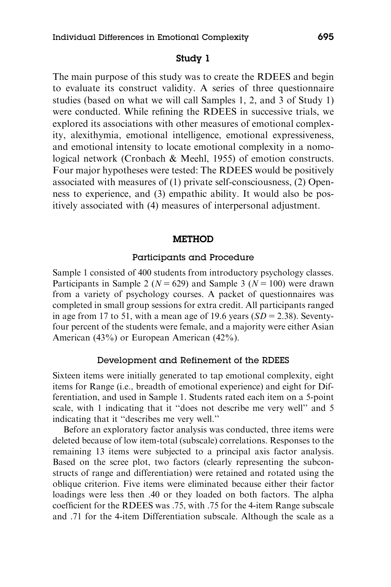#### Study 1

The main purpose of this study was to create the RDEES and begin to evaluate its construct validity. A series of three questionnaire studies (based on what we will call Samples 1, 2, and 3 of Study 1) were conducted. While refining the RDEES in successive trials, we explored its associations with other measures of emotional complexity, alexithymia, emotional intelligence, emotional expressiveness, and emotional intensity to locate emotional complexity in a nomological network (Cronbach & Meehl, 1955) of emotion constructs. Four major hypotheses were tested: The RDEES would be positively associated with measures of (1) private self-consciousness, (2) Openness to experience, and (3) empathic ability. It would also be positively associated with (4) measures of interpersonal adjustment.

#### METHOD

## Participants and Procedure

Sample 1 consisted of 400 students from introductory psychology classes. Participants in Sample 2 ( $N = 629$ ) and Sample 3 ( $N = 100$ ) were drawn from a variety of psychology courses. A packet of questionnaires was completed in small group sessions for extra credit. All participants ranged in age from 17 to 51, with a mean age of 19.6 years  $(SD = 2.38)$ . Seventyfour percent of the students were female, and a majority were either Asian American (43%) or European American (42%).

#### Development and Refinement of the RDEES

Sixteen items were initially generated to tap emotional complexity, eight items for Range (i.e., breadth of emotional experience) and eight for Differentiation, and used in Sample 1. Students rated each item on a 5-point scale, with 1 indicating that it ''does not describe me very well'' and 5 indicating that it ''describes me very well.''

Before an exploratory factor analysis was conducted, three items were deleted because of low item-total (subscale) correlations. Responses to the remaining 13 items were subjected to a principal axis factor analysis. Based on the scree plot, two factors (clearly representing the subconstructs of range and differentiation) were retained and rotated using the oblique criterion. Five items were eliminated because either their factor loadings were less then .40 or they loaded on both factors. The alpha coefficient for the RDEES was .75, with .75 for the 4-item Range subscale and .71 for the 4-item Differentiation subscale. Although the scale as a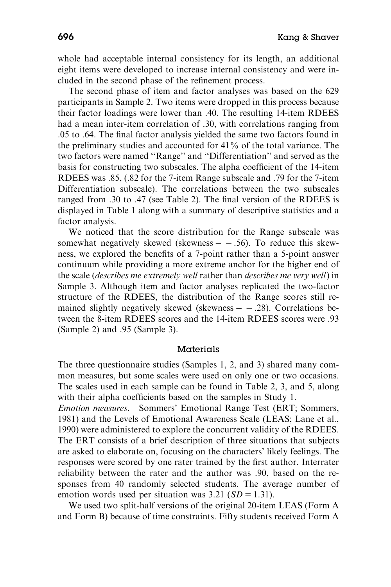whole had acceptable internal consistency for its length, an additional eight items were developed to increase internal consistency and were included in the second phase of the refinement process.

The second phase of item and factor analyses was based on the 629 participants in Sample 2. Two items were dropped in this process because their factor loadings were lower than .40. The resulting 14-item RDEES had a mean inter-item correlation of .30, with correlations ranging from .05 to .64. The final factor analysis yielded the same two factors found in the preliminary studies and accounted for 41% of the total variance. The two factors were named ''Range'' and ''Differentiation'' and served as the basis for constructing two subscales. The alpha coefficient of the 14-item RDEES was .85, (.82 for the 7-item Range subscale and .79 for the 7-item Differentiation subscale). The correlations between the two subscales ranged from .30 to .47 (see Table 2). The final version of the RDEES is displayed in Table 1 along with a summary of descriptive statistics and a factor analysis.

We noticed that the score distribution for the Range subscale was somewhat negatively skewed (skewness  $= -0.56$ ). To reduce this skewness, we explored the benefits of a 7-point rather than a 5-point answer continuum while providing a more extreme anchor for the higher end of the scale (describes me extremely well rather than describes me very well) in Sample 3. Although item and factor analyses replicated the two-factor structure of the RDEES, the distribution of the Range scores still remained slightly negatively skewed (skewness  $= -0.28$ ). Correlations between the 8-item RDEES scores and the 14-item RDEES scores were .93 (Sample 2) and .95 (Sample 3).

#### Materials

The three questionnaire studies (Samples 1, 2, and 3) shared many common measures, but some scales were used on only one or two occasions. The scales used in each sample can be found in Table 2, 3, and 5, along with their alpha coefficients based on the samples in Study 1.

Emotion measures. Sommers' Emotional Range Test (ERT; Sommers, 1981) and the Levels of Emotional Awareness Scale (LEAS; Lane et al., 1990) were administered to explore the concurrent validity of the RDEES. The ERT consists of a brief description of three situations that subjects are asked to elaborate on, focusing on the characters' likely feelings. The responses were scored by one rater trained by the first author. Interrater reliability between the rater and the author was .90, based on the responses from 40 randomly selected students. The average number of emotion words used per situation was  $3.21$  ( $SD = 1.31$ ).

We used two split-half versions of the original 20-item LEAS (Form A and Form B) because of time constraints. Fifty students received Form A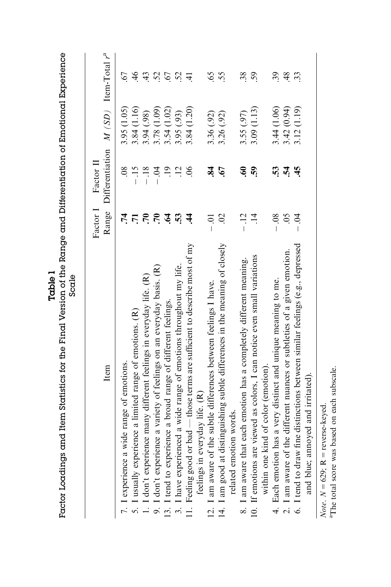|  | I<br>ĺ<br>$\ddot{\phantom{0}}$<br>)<br>Statistics<br>Statistics<br>.<br>.<br>.<br>)<br>5<br>5<br>5<br>5<br>5<br>֚֡<br>$\overline{1}$<br>$\frac{1}{2}$ |  |
|--|-------------------------------------------------------------------------------------------------------------------------------------------------------|--|
|--|-------------------------------------------------------------------------------------------------------------------------------------------------------|--|

| Item                                                                          |                                 | Range Differentiation $M(SD)$ Item-Total $r^a$<br>Factor I Factor II |             |               |
|-------------------------------------------------------------------------------|---------------------------------|----------------------------------------------------------------------|-------------|---------------|
| 7. I experience a wide range of emotions.                                     | $\vec{r}$                       | $\approx$                                                            | 3.95 (1.05) | 67            |
| 5. I usually experience a limited range of emotions. (R)                      | $\overline{5}$                  | $-15$                                                                | 3.84 (1.16) | $\frac{4}{6}$ |
| 1. I don't experience many different feelings in everyday life. (R)           | $\overline{70}$                 | $-.18$                                                               | 3.94 (.98)  | 43            |
| 9. I don't experience a variety of feelings on an everyday basis. (R)         | $\mathcal{L}$                   | S.                                                                   | 3.78 (1.09) | 52            |
| 13. I tend to experience a broad range of different feelings.                 | $\mathbf{g}$                    | $\overline{.}$                                                       | 3.54 (1.02) | 67            |
| 3. I have experienced a wide range of emotions throughout my life.            | 53                              | $\overline{12}$                                                      | 3.95 (.93)  | 52            |
| 11. Feeling good or bad — those terms are sufficient to describe most of my   | र्च                             | $\infty$                                                             | 3.84 (1.20) |               |
| feelings in everyday life. (R)                                                |                                 |                                                                      |             |               |
| 12. I am aware of the subtle differences between feelings I have.             | $\overline{0}$<br>Ï             | 8ġ                                                                   | 3.36 (.92)  | 65            |
| 14. I am good at distinguishing subtle differences in the meaning of closely  | $\mathcal{O}$                   | $\overline{6}$                                                       | 3.26 (.92)  | 55            |
| related emotion words.                                                        |                                 |                                                                      |             |               |
| 8. I am aware that each emotion has a completely different meaning.           | $-12$                           | $\tilde{e}$                                                          | 3.55 (.97)  | .38           |
| 10. If emotions are viewed as colors, I can notice even small variations      |                                 | ್ಲಿ                                                                  | 3.09(1.13)  | 59            |
| within one kind of color (emotion).                                           |                                 |                                                                      |             |               |
| 4. Each emotion has a very distinct and unique meaning to me.                 | $\frac{8}{2}$<br>$\overline{1}$ | $\mathbf{S}$                                                         | 3.44 (1.06) | 39            |
| 2. I am aware of the different nuances or subtleties of a given emotion.      | $\overline{0}$                  | Ľ,                                                                   | 3.42 (0.94) | 48            |
| 6. I tend to draw fine distinctions between similar feelings (e.g., depressed | $\widetilde{c}$                 | $\ddot{ }$                                                           | 3.12(1.19)  | 33            |
| and blue; annoyed and irritated).                                             |                                 |                                                                      |             |               |

*Note.*  $N = 629$ ;  $R =$  reverse-keyed.<br><sup>a</sup>The total score was based on each subscale. aThe total score was based on each subscale.*Note.*  $N = 629$ ;  $R =$  reverse-keyed.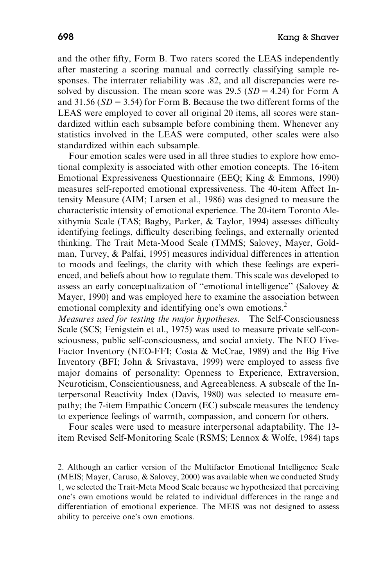and the other fifty, Form B. Two raters scored the LEAS independently after mastering a scoring manual and correctly classifying sample responses. The interrater reliability was .82, and all discrepancies were resolved by discussion. The mean score was 29.5 ( $SD = 4.24$ ) for Form A and 31.56 ( $SD = 3.54$ ) for Form B. Because the two different forms of the LEAS were employed to cover all original 20 items, all scores were standardized within each subsample before combining them. Whenever any statistics involved in the LEAS were computed, other scales were also standardized within each subsample.

Four emotion scales were used in all three studies to explore how emotional complexity is associated with other emotion concepts. The 16-item Emotional Expressiveness Questionnaire (EEQ; King & Emmons, 1990) measures self-reported emotional expressiveness. The 40-item Affect Intensity Measure (AIM; Larsen et al., 1986) was designed to measure the characteristic intensity of emotional experience. The 20-item Toronto Alexithymia Scale (TAS; Bagby, Parker, & Taylor, 1994) assesses difficulty identifying feelings, difficulty describing feelings, and externally oriented thinking. The Trait Meta-Mood Scale (TMMS; Salovey, Mayer, Goldman, Turvey, & Palfai, 1995) measures individual differences in attention to moods and feelings, the clarity with which these feelings are experienced, and beliefs about how to regulate them. This scale was developed to assess an early conceptualization of ''emotional intelligence'' (Salovey & Mayer, 1990) and was employed here to examine the association between emotional complexity and identifying one's own emotions.<sup>2</sup>

Measures used for testing the major hypotheses. The Self-Consciousness Scale (SCS; Fenigstein et al., 1975) was used to measure private self-consciousness, public self-consciousness, and social anxiety. The NEO Five-Factor Inventory (NEO-FFI; Costa & McCrae, 1989) and the Big Five Inventory (BFI; John & Srivastava, 1999) were employed to assess five major domains of personality: Openness to Experience, Extraversion, Neuroticism, Conscientiousness, and Agreeableness. A subscale of the Interpersonal Reactivity Index (Davis, 1980) was selected to measure empathy; the 7-item Empathic Concern (EC) subscale measures the tendency to experience feelings of warmth, compassion, and concern for others.

Four scales were used to measure interpersonal adaptability. The 13 item Revised Self-Monitoring Scale (RSMS; Lennox & Wolfe, 1984) taps

2. Although an earlier version of the Multifactor Emotional Intelligence Scale (MEIS; Mayer, Caruso, & Salovey, 2000) was available when we conducted Study 1, we selected the Trait-Meta Mood Scale because we hypothesized that perceiving one's own emotions would be related to individual differences in the range and differentiation of emotional experience. The MEIS was not designed to assess ability to perceive one's own emotions.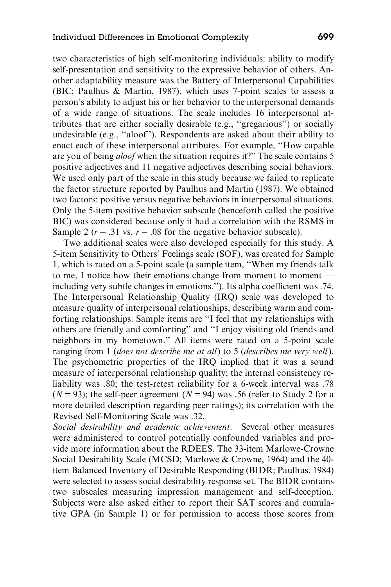two characteristics of high self-monitoring individuals: ability to modify self-presentation and sensitivity to the expressive behavior of others. Another adaptability measure was the Battery of Interpersonal Capabilities (BIC; Paulhus & Martin, 1987), which uses 7-point scales to assess a person's ability to adjust his or her behavior to the interpersonal demands of a wide range of situations. The scale includes 16 interpersonal attributes that are either socially desirable (e.g., ''gregarious'') or socially undesirable (e.g., ''aloof''). Respondents are asked about their ability to enact each of these interpersonal attributes. For example, ''How capable are you of being aloof when the situation requires it?'' The scale contains 5 positive adjectives and 11 negative adjectives describing social behaviors. We used only part of the scale in this study because we failed to replicate the factor structure reported by Paulhus and Martin (1987). We obtained two factors: positive versus negative behaviors in interpersonal situations. Only the 5-item positive behavior subscale (henceforth called the positive BIC) was considered because only it had a correlation with the RSMS in Sample 2 ( $r = .31$  vs.  $r = .08$  for the negative behavior subscale).

Two additional scales were also developed especially for this study. A 5-item Sensitivity to Others' Feelings scale (SOF), was created for Sample 1, which is rated on a 5-point scale (a sample item, ''When my friends talk to me, I notice how their emotions change from moment to moment including very subtle changes in emotions.''). Its alpha coefficient was .74. The Interpersonal Relationship Quality (IRQ) scale was developed to measure quality of interpersonal relationships, describing warm and comforting relationships. Sample items are ''I feel that my relationships with others are friendly and comforting'' and ''I enjoy visiting old friends and neighbors in my hometown.'' All items were rated on a 5-point scale ranging from 1 (does not describe me at all) to 5 (describes me very well). The psychometric properties of the IRQ implied that it was a sound measure of interpersonal relationship quality; the internal consistency reliability was .80; the test-retest reliability for a 6-week interval was .78  $(N = 93)$ ; the self-peer agreement  $(N = 94)$  was .56 (refer to Study 2 for a more detailed description regarding peer ratings); its correlation with the Revised Self-Monitoring Scale was .32.

Social desirability and academic achievement. Several other measures were administered to control potentially confounded variables and provide more information about the RDEES. The 33-item Marlowe-Crowne Social Desirability Scale (MCSD; Marlowe & Crowne, 1964) and the 40 item Balanced Inventory of Desirable Responding (BIDR; Paulhus, 1984) were selected to assess social desirability response set. The BIDR contains two subscales measuring impression management and self-deception. Subjects were also asked either to report their SAT scores and cumulative GPA (in Sample 1) or for permission to access those scores from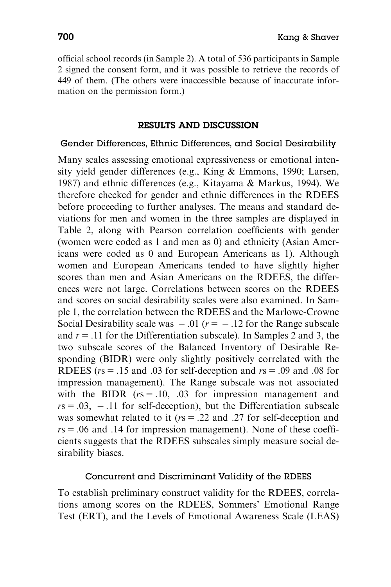official school records (in Sample 2). A total of 536 participants in Sample 2 signed the consent form, and it was possible to retrieve the records of 449 of them. (The others were inaccessible because of inaccurate information on the permission form.)

## RESULTS AND DISCUSSION

#### Gender Differences, Ethnic Differences, and Social Desirability

Many scales assessing emotional expressiveness or emotional intensity yield gender differences (e.g., King & Emmons, 1990; Larsen, 1987) and ethnic differences (e.g., Kitayama & Markus, 1994). We therefore checked for gender and ethnic differences in the RDEES before proceeding to further analyses. The means and standard deviations for men and women in the three samples are displayed in Table 2, along with Pearson correlation coefficients with gender (women were coded as 1 and men as 0) and ethnicity (Asian Americans were coded as 0 and European Americans as 1). Although women and European Americans tended to have slightly higher scores than men and Asian Americans on the RDEES, the differences were not large. Correlations between scores on the RDEES and scores on social desirability scales were also examined. In Sample 1, the correlation between the RDEES and the Marlowe-Crowne Social Desirability scale was  $-.01$  ( $r = -.12$  for the Range subscale and  $r = .11$  for the Differentiation subscale). In Samples 2 and 3, the two subscale scores of the Balanced Inventory of Desirable Responding (BIDR) were only slightly positively correlated with the RDEES ( $rs = .15$  and .03 for self-deception and  $rs = .09$  and .08 for impression management). The Range subscale was not associated with the BIDR  $(rs = .10, .03$  for impression management and  $rs = .03$ ,  $-.11$  for self-deception), but the Differentiation subscale was somewhat related to it ( $rs = .22$  and .27 for self-deception and  $rs = .06$  and .14 for impression management). None of these coefficients suggests that the RDEES subscales simply measure social desirability biases.

#### Concurrent and Discriminant Validity of the RDEES

To establish preliminary construct validity for the RDEES, correlations among scores on the RDEES, Sommers' Emotional Range Test (ERT), and the Levels of Emotional Awareness Scale (LEAS)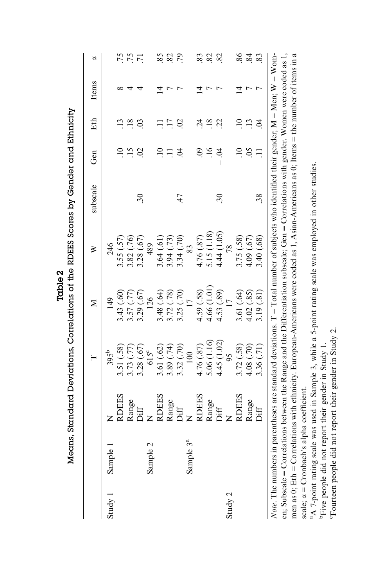| ことさせ てらろ そうてらくろ しょく<br>)<br>;                                 |
|---------------------------------------------------------------|
| <br> <br> <br>$\frac{1}{2}$<br>ジューリード<br>さくこうくしょ              |
| )<br> }<br> <br>֧֧֧֧֢ׅ֧֦֧֧֧֧֧ׅ֪֦֧֚֚֚֚֚֚֚֚֚֚֚֚֚֚֚֚֝֝֝֝֬֝֬֝֬֝֬֜ |
|                                                               |
| ;<br>;<br>;<br>;<br>-<br>,                                    |

|           |                       |                             |                                                                                                                 | ≍                                                    | ≽                                                    | subscale  | Gen             | Eth                                                    | Items                               | 8               |
|-----------|-----------------------|-----------------------------|-----------------------------------------------------------------------------------------------------------------|------------------------------------------------------|------------------------------------------------------|-----------|-----------------|--------------------------------------------------------|-------------------------------------|-----------------|
| tudy 1    | Sample                |                             | 395 <sup>b</sup>                                                                                                | 149                                                  | 246                                                  |           |                 |                                                        |                                     |                 |
|           |                       | <b>RDEES</b>                | $3.51 (.58)$<br>$3.73 (.77)$<br>$5.28 (.67)$                                                                    | 1.43 (.60)                                           | 3.55 (.57)<br>3.82 (.76)<br>3.28 (.67)               |           | $\Xi$           |                                                        |                                     | 75              |
|           |                       |                             |                                                                                                                 |                                                      |                                                      |           | $-15$           | $\frac{8}{18}$                                         |                                     | $\frac{75}{71}$ |
|           |                       | Range<br>Diff<br>N          |                                                                                                                 | $3.57(.77)$<br>$3.29(.67)$<br>$126$                  |                                                      | $\approx$ | $\mathcal{L}$   |                                                        |                                     |                 |
|           | Sample 2              |                             |                                                                                                                 |                                                      | 489                                                  |           |                 |                                                        |                                     |                 |
|           |                       | RDEES<br>Range<br>Diff<br>N |                                                                                                                 |                                                      |                                                      |           | $\Xi$           |                                                        |                                     |                 |
|           |                       |                             | 3.61 (.62)<br>3.89 (.74)<br>3.32 (.70)<br>100                                                                   | $3.48 (.64)$<br>$3.72 (.78)$<br>$3.25 (.70)$<br>$17$ | $3.64 (-61)$<br>$3.94 (-73)$<br>$3.34 (-70)$<br>$83$ |           | $\Xi$           |                                                        |                                     | 33 B            |
|           |                       |                             |                                                                                                                 |                                                      |                                                      | 47        | $\widetilde{S}$ | S                                                      |                                     |                 |
|           | Sample 3 <sup>ª</sup> |                             |                                                                                                                 |                                                      |                                                      |           |                 |                                                        |                                     |                 |
|           |                       | RDEES<br>Range<br>Diff<br>N |                                                                                                                 |                                                      |                                                      |           |                 |                                                        |                                     |                 |
|           |                       |                             |                                                                                                                 |                                                      |                                                      |           |                 | $\begin{smallmatrix} 2 & 3 \\ 2 & 5 \end{smallmatrix}$ |                                     | ಜ್ರ ಜ್ರ ಜ್ರ     |
|           |                       |                             | $4.76(.87)$<br>5.06 (1.16)<br>4.45 (1.02)<br>95                                                                 | $4.59(.58)$<br>$4.66 (1.01)$<br>$4.53 (.89)$<br>$17$ | $4.76(.87)$<br>5.15 (1.18)<br>4.44 (1.05)<br>78      | $\Im 0$   |                 |                                                        |                                     |                 |
| Study $2$ |                       |                             |                                                                                                                 |                                                      |                                                      |           |                 |                                                        |                                     |                 |
|           |                       | <b>RDEES</b>                | $3.72(.58)$<br>$4.08(.70)$                                                                                      | (64)                                                 | (38)                                                 |           |                 |                                                        |                                     | 86              |
|           |                       | Range<br>Diff               |                                                                                                                 | 4.02(.85)                                            | 4.09 (.67)                                           |           | 65              | $\Xi$                                                  |                                     | $rac{8}{3}$     |
|           |                       |                             | .36(.71)                                                                                                        | (0.81)                                               | (40)(68)                                             | 38        | $\equiv$        | $\mathfrak{p}$                                         |                                     |                 |
|           |                       |                             | <i>Note</i> . The numbers in parentheses are standard deviations. $T = Total$ number of subjects who identified |                                                      |                                                      |           |                 |                                                        | their gender; $M =$ Men; $W =$ Wom- |                 |

en; Subscale = Correlations between the Range and the Differentiation subscale; Gen = Correlations with gender. Women were coded as 1, men as 0; Eth = Correlations with ethnicity. European-Americans were coded as 1, Asian-Americans as 0; Items = the number of items in a men as 0; Eth = Correlations with ethnicity. European-Americans were coded as 1, Asian-Americans as 0; Items = the number of items in a en; Subscale = Correlations between the Range and the Differentiation subscale; Gen = Correlations with gender. Women were coded as 1, scale;  $\alpha$  = Cronbach's alpha coefficient. scale;  $\alpha$  = Cronbach's alpha coefficient.

<sup>a</sup>A 7-point rating scale was used in Sample 3, while a 5-point rating scale was employed in other studies. aA 7-point rating scale was used in Sample 3, while a 5-point rating scale was employed in other studies. <sup>b</sup>Five people did not report their gender in Study 1. bFive people did not report their gender in Study 1.

'Fourteen people did not report their gender in Study 2. cFourteen people did not report their gender in Study 2.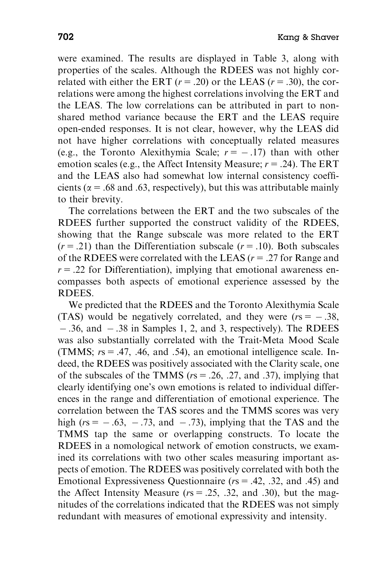were examined. The results are displayed in Table 3, along with properties of the scales. Although the RDEES was not highly correlated with either the ERT ( $r = .20$ ) or the LEAS ( $r = .30$ ), the correlations were among the highest correlations involving the ERT and the LEAS. The low correlations can be attributed in part to nonshared method variance because the ERT and the LEAS require open-ended responses. It is not clear, however, why the LEAS did not have higher correlations with conceptually related measures (e.g., the Toronto Alexithymia Scale;  $r = -.17$ ) than with other emotion scales (e.g., the Affect Intensity Measure;  $r = .24$ ). The ERT and the LEAS also had somewhat low internal consistency coefficients ( $\alpha$  = .68 and .63, respectively), but this was attributable mainly to their brevity.

The correlations between the ERT and the two subscales of the RDEES further supported the construct validity of the RDEES, showing that the Range subscale was more related to the ERT  $(r = .21)$  than the Differentiation subscale  $(r = .10)$ . Both subscales of the RDEES were correlated with the LEAS ( $r = .27$  for Range and  $r = .22$  for Differentiation), implying that emotional awareness encompasses both aspects of emotional experience assessed by the RDEES.

We predicted that the RDEES and the Toronto Alexithymia Scale (TAS) would be negatively correlated, and they were  $(r_s = -.38, ...)$  $-0.36$ , and  $-0.38$  in Samples 1, 2, and 3, respectively). The RDEES was also substantially correlated with the Trait-Meta Mood Scale (TMMS;  $rs = .47, .46, and .54$ ), an emotional intelligence scale. Indeed, the RDEES was positively associated with the Clarity scale, one of the subscales of the TMMS ( $rs = .26$ , .27, and .37), implying that clearly identifying one's own emotions is related to individual differences in the range and differentiation of emotional experience. The correlation between the TAS scores and the TMMS scores was very high ( $rs = -.63, -.73, and -.73$ ), implying that the TAS and the TMMS tap the same or overlapping constructs. To locate the RDEES in a nomological network of emotion constructs, we examined its correlations with two other scales measuring important aspects of emotion. The RDEES was positively correlated with both the Emotional Expressiveness Questionnaire ( $rs = .42, .32,$  and .45) and the Affect Intensity Measure ( $rs = .25, .32,$  and .30), but the magnitudes of the correlations indicated that the RDEES was not simply redundant with measures of emotional expressivity and intensity.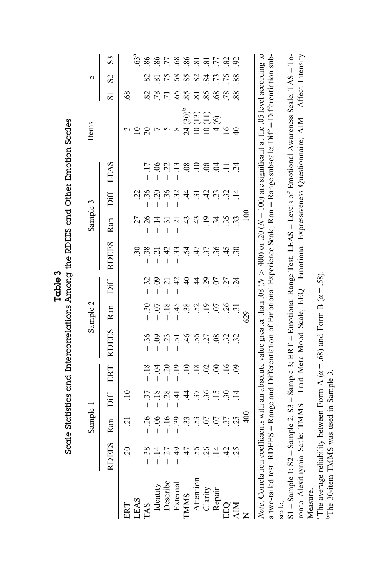|             |                       | Sample :       |              |                       |                 | Sample 2         |             |                     | Sample 3   |                            |                 | Items                                                                                                                                                                                                                                                                                                            |    | S               |                 |
|-------------|-----------------------|----------------|--------------|-----------------------|-----------------|------------------|-------------|---------------------|------------|----------------------------|-----------------|------------------------------------------------------------------------------------------------------------------------------------------------------------------------------------------------------------------------------------------------------------------------------------------------------------------|----|-----------------|-----------------|
|             | RDEES                 | Ran            | Diff         | ERT                   | RDEES           | Ran              | Diff        | <b>RDEES</b>        | Ran        | Diff                       | LEAS            |                                                                                                                                                                                                                                                                                                                  |    | $\mathcal{S}$   | S3              |
| ERT         | $\tilde{\mathcal{L}}$ | $\ddot{c}$     | $\Xi$        |                       |                 |                  |             |                     |            |                            |                 |                                                                                                                                                                                                                                                                                                                  | 68 |                 |                 |
| LEAS        |                       |                |              |                       |                 |                  |             | $\ddot{.}30$        | 27         |                            |                 |                                                                                                                                                                                                                                                                                                                  |    |                 | $.63^{\rm a}$   |
| TAS         | $-38$                 | $-0.26$        | $-.37$       |                       | $-.36$          | $-0.30$          |             | 38                  | $-0.26$    | 23.5                       |                 | $\Omega$                                                                                                                                                                                                                                                                                                         |    |                 | .86             |
| Identity    | $-14$                 |                |              |                       | 60              |                  |             | $\ddot{\Omega}$     | $-14$      | $\tilde{\mathcal{L}}$<br>Ī | $-0.6$          |                                                                                                                                                                                                                                                                                                                  | 78 | $\overline{8}$  | 86              |
| Describe    | .27<br>Ī              | $-16$          | $-28$        | $\tilde{\mathcal{S}}$ | $\ddot{c}$      |                  | ្ម          | 42                  |            | $\ddot{36}$                | $-22$           |                                                                                                                                                                                                                                                                                                                  |    | .75             | .77             |
| External    | र्नि                  | $-39$          | 4.           |                       | 5               | 45               | 47          | $\ddot{3}$          | <u>يا</u>  | 32                         | Ξ               |                                                                                                                                                                                                                                                                                                                  |    | 89.             | 89.             |
| <b>TMMS</b> |                       | 33             | 4            | $\Xi$                 | 46              | $\ddot{38}$      | र्          | $\dot{X}$ $\dot{A}$ | 43         | $\dot{4}$                  | $\approx$       | $24(30)^{5}$                                                                                                                                                                                                                                                                                                     |    | 85              | 86              |
| Attention   | 47<br>56              | 53             | .37          | .18                   | 56              | 52               | $\dot{4}$   |                     | 43         | $\overline{31}$            | $\overline{10}$ | 10(13)                                                                                                                                                                                                                                                                                                           | 8  | .82             | $\overline{81}$ |
| Clarity     | $26 \frac{1}{4}$      | $\overline{0}$ | $\ddot{56}$  | $\mathcal{S}$         | $\overline{27}$ | $\ddot{=}$       | 29          | 37.36               | $\ddot{0}$ | 42                         | $\overline{0}$  | 10(11)                                                                                                                                                                                                                                                                                                           | 85 | $\overline{84}$ | $\frac{1}{27}$  |
| Repair      |                       | $\overline{0}$ | $\ddot{5}$   | $\infty$              | $\overline{0}$  | $\overline{0}$ . | <b>CO</b> . |                     | 34         | $\tilde{\mathcal{L}}$      | Ś               | 4(6)                                                                                                                                                                                                                                                                                                             | 68 | .73             |                 |
| EEQ         | 4.25                  | 37             | $\ddot{.}30$ | $\overline{16}$       | 32 <sub>0</sub> | 26               | 27          | $45 \text{ m}$      | 35         | 32                         | Ξ               | $\overline{6}$                                                                                                                                                                                                                                                                                                   | 78 | .76             | 82              |
| <b>AIM</b>  |                       | 25             | 그            | $\infty$              |                 |                  | 24          |                     | 33         | $\vec{a}$                  | Σ4              | $\Theta$                                                                                                                                                                                                                                                                                                         | 88 | 88              | $\mathcal{S}$   |
| Z           |                       | $rac{1}{4}$    |              |                       |                 | 629              |             |                     | $\Xi$      |                            |                 |                                                                                                                                                                                                                                                                                                                  |    |                 |                 |
| scale;      |                       |                |              |                       |                 |                  |             |                     |            |                            |                 | <i>Note</i> . Correlation coefficients with an absolute value greater than .08 ( <i>N</i> > 400) or -20 ( <i>N</i> = 100) are significant at the .05 level according to<br>a two-tailed test. RDEES = Range and Differentiation of Emotional Experience Scale; Ran = Range subscale; Diff = Differentiation sub- |    |                 | ŀ               |
|             |                       |                | $\zeta$      | $\frac{1}{2}$         | ľ               |                  |             | $\frac{1}{2}$       |            | $\frac{1}{2}$              |                 |                                                                                                                                                                                                                                                                                                                  |    |                 |                 |

S1 = Sample 1; S2 = Sample 2; S3 = Sample 3; ERT = Emotional Range Test; LEAS = Levels of Emotional Awareness Scale; TAS = Toronto Alexithymia Scale; TMMS = Trait Meta-Mood Scale; EEQ = Emotional Expressiveness Questionnaire; AIM = Affect Intensity S1 = Sample 1; S2 = Sample 2; S3 = Sample 3; ERT = Emotional Range Test; LEAS = Levels of Emotional Awareness Scale; TAS = Toronto Alexithymia Scale; TMMS = Trait Meta-Mood Scale; EEQ = Emotional Expressiveness Questionnaire; AIM = Affect Intensity Measure. Measure.

<sup>a</sup>The average reliability between Form A ( $\alpha$  = .68) and Form B ( $\alpha$  = .58).<br><sup>b</sup>The 30-item TMMS was used in Sample 3. <sup>a</sup>The average reliability between Form A ( $\alpha = .68$ ) and Form B ( $\alpha = .58$ ).

bThe 30-item TMMS was used in Sample 3.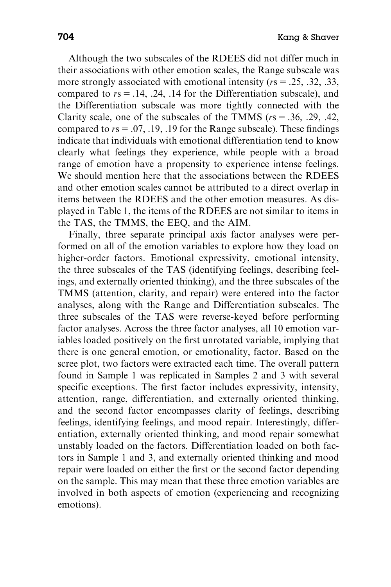Although the two subscales of the RDEES did not differ much in their associations with other emotion scales, the Range subscale was more strongly associated with emotional intensity ( $rs = .25, .32, .33,$ compared to  $rs = .14, .24, .14$  for the Differentiation subscale), and the Differentiation subscale was more tightly connected with the Clarity scale, one of the subscales of the TMMS ( $rs = .36, .29, .42,$ compared to  $rs = .07, .19, .19$  for the Range subscale). These findings indicate that individuals with emotional differentiation tend to know clearly what feelings they experience, while people with a broad range of emotion have a propensity to experience intense feelings. We should mention here that the associations between the RDEES and other emotion scales cannot be attributed to a direct overlap in items between the RDEES and the other emotion measures. As displayed in Table 1, the items of the RDEES are not similar to items in the TAS, the TMMS, the EEQ, and the AIM.

Finally, three separate principal axis factor analyses were performed on all of the emotion variables to explore how they load on higher-order factors. Emotional expressivity, emotional intensity, the three subscales of the TAS (identifying feelings, describing feelings, and externally oriented thinking), and the three subscales of the TMMS (attention, clarity, and repair) were entered into the factor analyses, along with the Range and Differentiation subscales. The three subscales of the TAS were reverse-keyed before performing factor analyses. Across the three factor analyses, all 10 emotion variables loaded positively on the first unrotated variable, implying that there is one general emotion, or emotionality, factor. Based on the scree plot, two factors were extracted each time. The overall pattern found in Sample 1 was replicated in Samples 2 and 3 with several specific exceptions. The first factor includes expressivity, intensity, attention, range, differentiation, and externally oriented thinking, and the second factor encompasses clarity of feelings, describing feelings, identifying feelings, and mood repair. Interestingly, differentiation, externally oriented thinking, and mood repair somewhat unstably loaded on the factors. Differentiation loaded on both factors in Sample 1 and 3, and externally oriented thinking and mood repair were loaded on either the first or the second factor depending on the sample. This may mean that these three emotion variables are involved in both aspects of emotion (experiencing and recognizing emotions).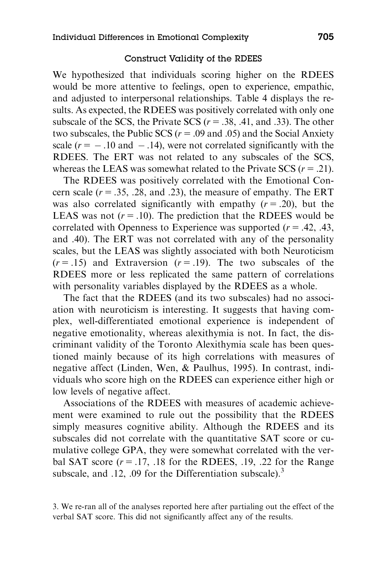#### Construct Validity of the RDEES

We hypothesized that individuals scoring higher on the RDEES would be more attentive to feelings, open to experience, empathic, and adjusted to interpersonal relationships. Table 4 displays the results. As expected, the RDEES was positively correlated with only one subscale of the SCS, the Private SCS ( $r = .38, .41,$  and .33). The other two subscales, the Public SCS ( $r = .09$  and .05) and the Social Anxiety scale  $(r = -.10$  and  $-.14)$ , were not correlated significantly with the RDEES. The ERT was not related to any subscales of the SCS, whereas the LEAS was somewhat related to the Private SCS  $(r = .21)$ .

The RDEES was positively correlated with the Emotional Concern scale  $(r = .35, .28, \text{ and } .23)$ , the measure of empathy. The ERT was also correlated significantly with empathy  $(r = .20)$ , but the LEAS was not  $(r = .10)$ . The prediction that the RDEES would be correlated with Openness to Experience was supported  $(r = .42, .43, )$ and .40). The ERT was not correlated with any of the personality scales, but the LEAS was slightly associated with both Neuroticism  $(r = .15)$  and Extraversion  $(r = .19)$ . The two subscales of the RDEES more or less replicated the same pattern of correlations with personality variables displayed by the RDEES as a whole.

The fact that the RDEES (and its two subscales) had no association with neuroticism is interesting. It suggests that having complex, well-differentiated emotional experience is independent of negative emotionality, whereas alexithymia is not. In fact, the discriminant validity of the Toronto Alexithymia scale has been questioned mainly because of its high correlations with measures of negative affect (Linden, Wen, & Paulhus, 1995). In contrast, individuals who score high on the RDEES can experience either high or low levels of negative affect.

Associations of the RDEES with measures of academic achievement were examined to rule out the possibility that the RDEES simply measures cognitive ability. Although the RDEES and its subscales did not correlate with the quantitative SAT score or cumulative college GPA, they were somewhat correlated with the verbal SAT score  $(r = .17, .18$  for the RDEES, .19, .22 for the Range subscale, and .12, .09 for the Differentiation subscale).<sup>3</sup>

<sup>3.</sup> We re-ran all of the analyses reported here after partialing out the effect of the verbal SAT score. This did not significantly affect any of the results.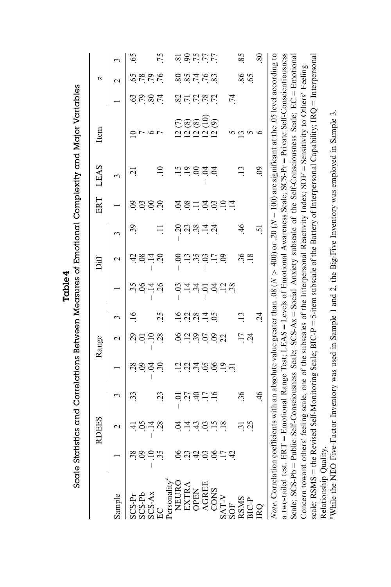|                                          | $\frac{1}{2}$<br>i<br>5<br>5<br>5    |
|------------------------------------------|--------------------------------------|
|                                          | ֞                                    |
|                                          | A A E matrice of Campo Law History 2 |
| ֧֧֧֧֧֚֚֚֚֚֚֚֚֚֚֚֚֚֚֚֚֚֚֚֚֚֚֚֚֚֚֬֝֓֝֓֡֜֝֓ |                                      |
|                                          | <b>SPIRES 2002</b>                   |
|                                          |                                      |
|                                          |                                      |
|                                          | . היה הל היינה ל היינה א             |
|                                          |                                      |
|                                          |                                      |
|                                          |                                      |
|                                          | ة<br>م                               |

|                                                                                                                                                                                                                                                                                                                                                                                                                                                   |                               | <b>RDEES</b>                            |                 |                               | Range                            |               |                      | Diff                            |                              | ERT                                   | <b>LEAS</b>          | Item                    |                    | 8         |                         |
|---------------------------------------------------------------------------------------------------------------------------------------------------------------------------------------------------------------------------------------------------------------------------------------------------------------------------------------------------------------------------------------------------------------------------------------------------|-------------------------------|-----------------------------------------|-----------------|-------------------------------|----------------------------------|---------------|----------------------|---------------------------------|------------------------------|---------------------------------------|----------------------|-------------------------|--------------------|-----------|-------------------------|
| Sample                                                                                                                                                                                                                                                                                                                                                                                                                                            |                               | $\sim$                                  |                 |                               |                                  | 3             |                      |                                 |                              |                                       |                      |                         |                    |           |                         |
| SCS-Pb<br>SCS-Ax<br>SCS-Pr                                                                                                                                                                                                                                                                                                                                                                                                                        | $\overline{60}$<br>$\Xi$<br>Ī | $\vec{a}$<br>$\overline{0}$             | 33              | $\ddot{q}$<br>$\frac{28}{10}$ | 29<br>$\overline{10}$<br>ā       | $\frac{8}{1}$ | $\overline{14}$<br>Š | $-14$<br>$\approx$              | 39                           | $\mathfrak{S}$<br>$\mathcal{S}$<br>కి | $\sim$               | $\circ$                 | .79<br>80          | 65<br>.79 | 65                      |
| Personality <sup>a</sup><br>E                                                                                                                                                                                                                                                                                                                                                                                                                     | $\ddot{35}$                   | 28                                      | 23              | 30                            | 28                               | 25            | 26                   | $\mathcal{S}$                   | Ξ                            | $\Omega$                              | $\ddot{=}$           | $\overline{r}$          | $\overline{7}$     | .76       | .75                     |
| NEURO<br>EXTRA                                                                                                                                                                                                                                                                                                                                                                                                                                    | $\sim$                        |                                         |                 | <u>។</u> ដូង ខ្ញុំ ខ្ញុំ      |                                  | $\tilde{=}$   | $\vec{a}$            |                                 | <u> ខ្ញុំ ខ្ញុំ ដូ ខ្ញុំ</u> | Ş                                     |                      | $\overline{C}$          | .82                | 80        | $\overline{\mathrm{s}}$ |
| <b>OPEN</b>                                                                                                                                                                                                                                                                                                                                                                                                                                       | 3458                          | $\vec{a}$ $\vec{a}$ $\vec{c}$ $\vec{c}$ | $\frac{51}{40}$ |                               | $\ddot{a}$ $\ddot{a}$ $\ddot{b}$ | 3845          | $\ddot{3}4$          | $\ddot{3}$                      |                              | $\approx$ $\approx$                   | $\frac{5}{2}$        | ⊗<br>$\overline{C}$     | 71.<br>ς<br>י<br>ד | 378       | 3.77                    |
| AGREE                                                                                                                                                                                                                                                                                                                                                                                                                                             |                               |                                         | $\overline{17}$ |                               |                                  |               | $\leq$ $\frac{1}{2}$ | $-$ 03                          |                              | $\ddot{q}$                            | Ś.<br>$\overline{1}$ | $\Xi$<br>$\overline{c}$ | .78                |           |                         |
| <b>CONS</b>                                                                                                                                                                                                                                                                                                                                                                                                                                       |                               |                                         |                 |                               | $\frac{3}{2}$                    |               |                      |                                 |                              | 0 <sup>3</sup>                        | S                    | ම<br>$\overline{C}$     | .72                | 83        | .77                     |
| SAT-V<br>SOF                                                                                                                                                                                                                                                                                                                                                                                                                                      | $\overline{17}$<br>42         | $\frac{8}{18}$                          |                 | $\overline{31}$               |                                  |               | $\ddot{5}$<br>.38    | $\odot$                         |                              | $\overline{10}$<br>$\overline{4}$     |                      |                         | $\overline{7}$     |           |                         |
| RSMS<br>BIC-P                                                                                                                                                                                                                                                                                                                                                                                                                                     |                               | $\frac{3}{25}$                          | 36              |                               | $-54$                            |               |                      | $\ddot{36}$<br>$\overline{.18}$ | $\frac{4}{6}$                |                                       | 13.                  |                         |                    | 89.98     | 85                      |
| IRQ                                                                                                                                                                                                                                                                                                                                                                                                                                               |                               |                                         | $\frac{4}{6}$   |                               |                                  | 24            |                      |                                 | 5                            |                                       | $\overline{0}$       |                         |                    |           | 80                      |
| <i>Note</i> . Correlation coefficients with an absolute value greater than .08 ( <i>N</i> > 400) or -20 ( <i>N</i> = 100) are significant at the .05 level according to<br>a two-tailed test. ERT = Emotional Range Test; LEAS = Levels of Emotional Awareness Scale; SCS-Pr = Private Self-Conscientiousness<br>Scale: SCS-Pb = Public Self-Consciousness Scale: SCS-Ax = Social Anxiety subscale of the Self-Consciousness Scale: EC = Emotiona |                               |                                         |                 |                               |                                  |               |                      |                                 |                              |                                       |                      |                         |                    |           |                         |

<sup>a</sup>While the NEO Five-Factor Inventory was used in Sample 1 and 2, the Big-Five Inventory was employed in Sample 3. aWhile the NEO Five-Factor Inventory was used in Sample 1 and 2, the Big-Five Inventory was employed in Sample 3.Relationship Quality. Relationship Quality.

Concern toward others' feeling scale, one of the subscales of the Interpersonal Reactivity Index; SOF = Sensitivity to Others' Feeling scale; RSMS = the Revised Self-Monitoring Scale; BIC-P = 5-item subscale of the Battery of Interpersonal Capability; IRQ = Interpersonal

Concern toward others' feeling scale, one of the subscales of the Interpersonal Reactivity Index;  $SOF =$  Sensitivity to Others' Feeling scale; RSMS = the Revised Self-Monitoring Scale; BIC-P = 5-item subscale of the Batter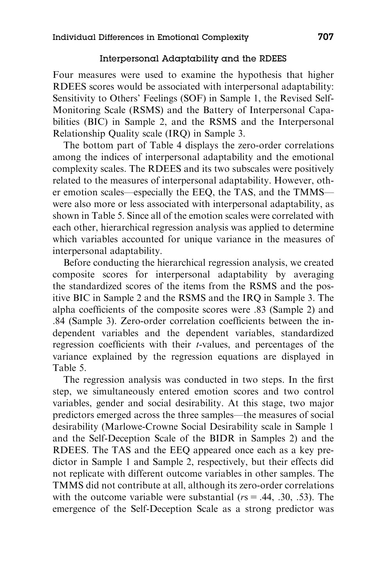## Interpersonal Adaptability and the RDEES

Four measures were used to examine the hypothesis that higher RDEES scores would be associated with interpersonal adaptability: Sensitivity to Others' Feelings (SOF) in Sample 1, the Revised Self-Monitoring Scale (RSMS) and the Battery of Interpersonal Capabilities (BIC) in Sample 2, and the RSMS and the Interpersonal Relationship Quality scale (IRQ) in Sample 3.

The bottom part of Table 4 displays the zero-order correlations among the indices of interpersonal adaptability and the emotional complexity scales. The RDEES and its two subscales were positively related to the measures of interpersonal adaptability. However, other emotion scales—especially the EEQ, the TAS, and the TMMS were also more or less associated with interpersonal adaptability, as shown in Table 5. Since all of the emotion scales were correlated with each other, hierarchical regression analysis was applied to determine which variables accounted for unique variance in the measures of interpersonal adaptability.

Before conducting the hierarchical regression analysis, we created composite scores for interpersonal adaptability by averaging the standardized scores of the items from the RSMS and the positive BIC in Sample 2 and the RSMS and the IRQ in Sample 3. The alpha coefficients of the composite scores were .83 (Sample 2) and .84 (Sample 3). Zero-order correlation coefficients between the independent variables and the dependent variables, standardized regression coefficients with their t-values, and percentages of the variance explained by the regression equations are displayed in Table 5.

The regression analysis was conducted in two steps. In the first step, we simultaneously entered emotion scores and two control variables, gender and social desirability. At this stage, two major predictors emerged across the three samples—the measures of social desirability (Marlowe-Crowne Social Desirability scale in Sample 1 and the Self-Deception Scale of the BIDR in Samples 2) and the RDEES. The TAS and the EEQ appeared once each as a key predictor in Sample 1 and Sample 2, respectively, but their effects did not replicate with different outcome variables in other samples. The TMMS did not contribute at all, although its zero-order correlations with the outcome variable were substantial ( $rs = .44, .30, .53$ ). The emergence of the Self-Deception Scale as a strong predictor was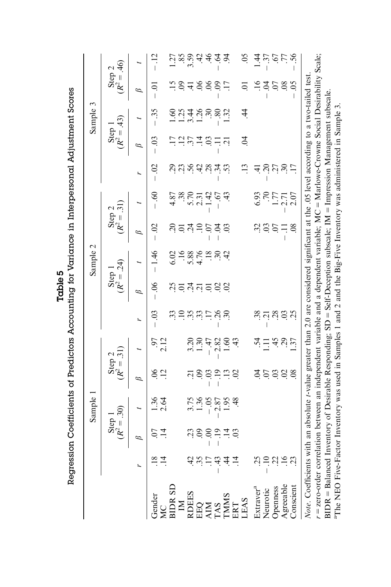|                                           |               |       | Sample 1                     |                    |                         |                                                                         |                 | Sample 2                              |                         |                           |                                 |                | Sample 3                        |                           |                |
|-------------------------------------------|---------------|-------|------------------------------|--------------------|-------------------------|-------------------------------------------------------------------------|-----------------|---------------------------------------|-------------------------|---------------------------|---------------------------------|----------------|---------------------------------|---------------------------|----------------|
|                                           |               |       | Step 1<br>( $R^2 = .30$ )    |                    | Step 2<br>$(R^2 = .31)$ |                                                                         |                 | Step 1<br>( $R^2 = .24$ )             | Step 2<br>$(R^2 = .31)$ |                           |                                 |                | Step 1<br>$(R^2 = .43)$         | Step 2<br>( $R^2 = .46$ ) |                |
|                                           |               | B     |                              | 6                  |                         |                                                                         | β               |                                       | В                       |                           |                                 | 6              |                                 | $^{\circ}$                |                |
| Gender<br>Š                               | $\frac{3}{4}$ |       | $\frac{36}{2.64}$            | 82                 | 97<br>2.12              | $\overline{0}$                                                          | $\frac{8}{2}$   | $-1.46$                               | $\mathfrak{S}$          | <b>SO</b> .               | $\mathcal{S}$<br>$\overline{1}$ | $\overline{0}$ | $-.35$                          | Ģ.                        | $-12$          |
| BIDR SD<br>$\overline{M}$                 |               |       |                              |                    |                         | $\ddot{\omega}$ j $\ddot{\omega}$ is $\ddot{\omega}$ in $\ddot{\omega}$ | ង៉ូទង៉ូតូទីទីទី |                                       | <u>នុគ្នន់គូទ្ន</u>     | $\frac{8}{4}$             | <u>ន្ទដន្ទដន្ទដន្ទ</u>          | ក្នុងដូនដង     | $-1.348$<br>$-1.348$<br>$-1.58$ |                           | LC.            |
|                                           |               |       |                              |                    |                         |                                                                         |                 | $-8859$<br>$-887$<br>$-899$<br>$-899$ |                         | $38.7$<br>$5.7$<br>$2.31$ |                                 |                |                                 | 5488                      | s s s s s s s  |
|                                           |               | 73.88 | $3.75$<br>1.36               |                    | $3.30$<br>1.30          |                                                                         |                 |                                       |                         |                           |                                 |                |                                 |                           |                |
|                                           |               |       |                              |                    | 47                      |                                                                         |                 |                                       |                         | $-1.42$                   |                                 |                |                                 |                           |                |
|                                           |               |       | $-0.87$<br>$-2.87$<br>$1.95$ |                    | $2.82$<br>1.60          |                                                                         |                 |                                       |                         | $-0.67$                   |                                 |                |                                 |                           |                |
| RDEES<br>EEQ<br>TAS<br>TMMS<br>ERT<br>ERT | त रुं न त व न | 27.5  | $\frac{8}{1}$                | <u> zi gig gig</u> | $\ddot{4}$              |                                                                         |                 |                                       |                         | $\ddot{a}$                |                                 |                | 1.32                            | $\overline{17}$           |                |
| LEAS                                      |               |       |                              |                    |                         |                                                                         |                 |                                       |                         |                           |                                 | Ŕ              | र्च                             |                           | $\overline{0}$ |
| Extraver <sup>a</sup>                     |               |       |                              |                    |                         |                                                                         |                 |                                       |                         |                           |                                 |                |                                 |                           |                |
| Neurotic                                  | 39.239.23     |       |                              | zessa              | $\frac{1}{2}$           | ន្ទីដូនដូ                                                               |                 |                                       | 2957                    | $\frac{53}{2.77}$         | $\pm$ 858                       |                |                                 |                           |                |
| Openness                                  |               |       |                              |                    |                         |                                                                         |                 |                                       |                         |                           |                                 |                |                                 | 3588                      |                |
| Agreeable                                 |               |       |                              |                    | 4.89                    |                                                                         |                 |                                       |                         |                           |                                 |                |                                 |                           |                |
| Conscient                                 |               |       |                              |                    |                         |                                                                         |                 |                                       | $\overline{0}$          | 2.07                      | $\overline{17}$                 |                |                                 | I                         |                |

Table 5

vans,  $r =$  zero-order correlation between an independent variable and a dependent variable; MC = Marlowe-Crowne Social Desirability Scale; Note. Coefficients with an absolute t-value greater than 2.0 are considered significant at the .05 level according to a two-tailed test. r – zarowara contraanon oerween an muepentuur vantabre anu a uepentuen vantabre, iVt – iVianowe-Crowne Social Desirabi<br>BIDR = Balanced Inventory of Desirable Responding; SD = Self-Deception subscale; IM = Impression Manage  $BIDR = Balanced Inventory of Desirable Responding; SD = Self-Deception subscale; IN = Impression Management subscale.$ aThe NEO Five-Factor Inventory was used in Samples 1 and 2 and the Big-Five Inventory was administered in Sample 3. aThe NEO Five-Factor Inventory was used in Samples 1 and 2 and the Big-Five Inventory was administered in Sample 3.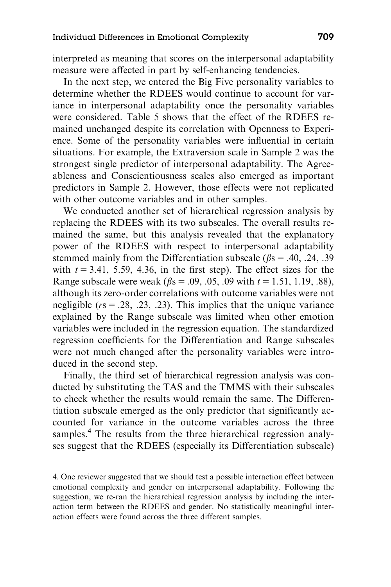interpreted as meaning that scores on the interpersonal adaptability measure were affected in part by self-enhancing tendencies.

In the next step, we entered the Big Five personality variables to determine whether the RDEES would continue to account for variance in interpersonal adaptability once the personality variables were considered. Table 5 shows that the effect of the RDEES remained unchanged despite its correlation with Openness to Experience. Some of the personality variables were influential in certain situations. For example, the Extraversion scale in Sample 2 was the strongest single predictor of interpersonal adaptability. The Agreeableness and Conscientiousness scales also emerged as important predictors in Sample 2. However, those effects were not replicated with other outcome variables and in other samples.

We conducted another set of hierarchical regression analysis by replacing the RDEES with its two subscales. The overall results remained the same, but this analysis revealed that the explanatory power of the RDEES with respect to interpersonal adaptability stemmed mainly from the Differentiation subscale ( $\beta$ s = .40, .24, .39 with  $t = 3.41$ , 5.59, 4.36, in the first step). The effect sizes for the Range subscale were weak ( $\beta$ s = .09, .05, .09 with  $t = 1.51, 1.19, .88$ ), although its zero-order correlations with outcome variables were not negligible  $(rs = .28, .23, .23)$ . This implies that the unique variance explained by the Range subscale was limited when other emotion variables were included in the regression equation. The standardized regression coefficients for the Differentiation and Range subscales were not much changed after the personality variables were introduced in the second step.

Finally, the third set of hierarchical regression analysis was conducted by substituting the TAS and the TMMS with their subscales to check whether the results would remain the same. The Differentiation subscale emerged as the only predictor that significantly accounted for variance in the outcome variables across the three samples.<sup>4</sup> The results from the three hierarchical regression analyses suggest that the RDEES (especially its Differentiation subscale)

<sup>4.</sup> One reviewer suggested that we should test a possible interaction effect between emotional complexity and gender on interpersonal adaptability. Following the suggestion, we re-ran the hierarchical regression analysis by including the interaction term between the RDEES and gender. No statistically meaningful interaction effects were found across the three different samples.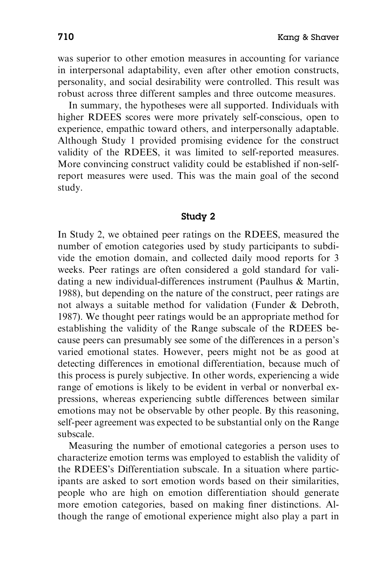was superior to other emotion measures in accounting for variance in interpersonal adaptability, even after other emotion constructs, personality, and social desirability were controlled. This result was robust across three different samples and three outcome measures.

In summary, the hypotheses were all supported. Individuals with higher RDEES scores were more privately self-conscious, open to experience, empathic toward others, and interpersonally adaptable. Although Study 1 provided promising evidence for the construct validity of the RDEES, it was limited to self-reported measures. More convincing construct validity could be established if non-selfreport measures were used. This was the main goal of the second study.

## Study 2

In Study 2, we obtained peer ratings on the RDEES, measured the number of emotion categories used by study participants to subdivide the emotion domain, and collected daily mood reports for 3 weeks. Peer ratings are often considered a gold standard for validating a new individual-differences instrument (Paulhus & Martin, 1988), but depending on the nature of the construct, peer ratings are not always a suitable method for validation (Funder & Debroth, 1987). We thought peer ratings would be an appropriate method for establishing the validity of the Range subscale of the RDEES because peers can presumably see some of the differences in a person's varied emotional states. However, peers might not be as good at detecting differences in emotional differentiation, because much of this process is purely subjective. In other words, experiencing a wide range of emotions is likely to be evident in verbal or nonverbal expressions, whereas experiencing subtle differences between similar emotions may not be observable by other people. By this reasoning, self-peer agreement was expected to be substantial only on the Range subscale.

Measuring the number of emotional categories a person uses to characterize emotion terms was employed to establish the validity of the RDEES's Differentiation subscale. In a situation where participants are asked to sort emotion words based on their similarities, people who are high on emotion differentiation should generate more emotion categories, based on making finer distinctions. Although the range of emotional experience might also play a part in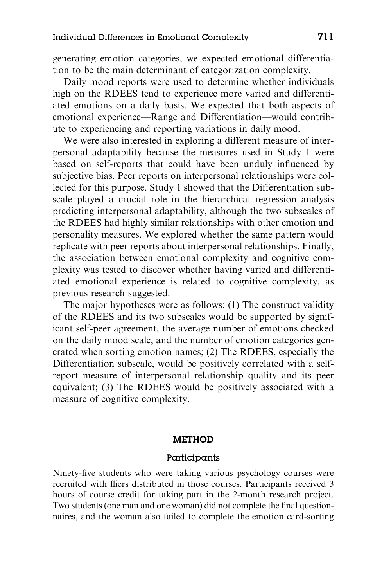generating emotion categories, we expected emotional differentiation to be the main determinant of categorization complexity.

Daily mood reports were used to determine whether individuals high on the RDEES tend to experience more varied and differentiated emotions on a daily basis. We expected that both aspects of emotional experience—Range and Differentiation—would contribute to experiencing and reporting variations in daily mood.

We were also interested in exploring a different measure of interpersonal adaptability because the measures used in Study 1 were based on self-reports that could have been unduly influenced by subjective bias. Peer reports on interpersonal relationships were collected for this purpose. Study 1 showed that the Differentiation subscale played a crucial role in the hierarchical regression analysis predicting interpersonal adaptability, although the two subscales of the RDEES had highly similar relationships with other emotion and personality measures. We explored whether the same pattern would replicate with peer reports about interpersonal relationships. Finally, the association between emotional complexity and cognitive complexity was tested to discover whether having varied and differentiated emotional experience is related to cognitive complexity, as previous research suggested.

The major hypotheses were as follows: (1) The construct validity of the RDEES and its two subscales would be supported by significant self-peer agreement, the average number of emotions checked on the daily mood scale, and the number of emotion categories generated when sorting emotion names; (2) The RDEES, especially the Differentiation subscale, would be positively correlated with a selfreport measure of interpersonal relationship quality and its peer equivalent; (3) The RDEES would be positively associated with a measure of cognitive complexity.

#### METHOD

#### Participants

Ninety-five students who were taking various psychology courses were recruited with fliers distributed in those courses. Participants received 3 hours of course credit for taking part in the 2-month research project. Two students (one man and one woman) did not complete the final questionnaires, and the woman also failed to complete the emotion card-sorting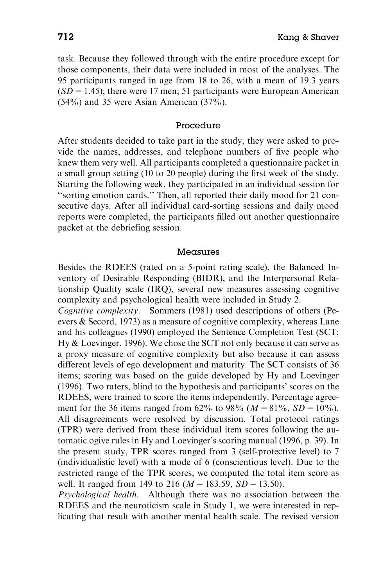task. Because they followed through with the entire procedure except for those components, their data were included in most of the analyses. The 95 participants ranged in age from 18 to 26, with a mean of 19.3 years  $(SD = 1.45)$ ; there were 17 men; 51 participants were European American  $(54\%)$  and 35 were Asian American  $(37\%)$ .

#### **Procedure**

After students decided to take part in the study, they were asked to provide the names, addresses, and telephone numbers of five people who knew them very well. All participants completed a questionnaire packet in a small group setting (10 to 20 people) during the first week of the study. Starting the following week, they participated in an individual session for ''sorting emotion cards.'' Then, all reported their daily mood for 21 consecutive days. After all individual card-sorting sessions and daily mood reports were completed, the participants filled out another questionnaire packet at the debriefing session.

#### Measures

Besides the RDEES (rated on a 5-point rating scale), the Balanced Inventory of Desirable Responding (BIDR), and the Interpersonal Relationship Quality scale (IRQ), several new measures assessing cognitive complexity and psychological health were included in Study 2.

Cognitive complexity. Sommers (1981) used descriptions of others (Peevers & Secord, 1973) as a measure of cognitive complexity, whereas Lane and his colleagues (1990) employed the Sentence Completion Test (SCT; Hy & Loevinger, 1996). We chose the SCT not only because it can serve as a proxy measure of cognitive complexity but also because it can assess different levels of ego development and maturity. The SCT consists of 36 items; scoring was based on the guide developed by Hy and Loevinger (1996). Two raters, blind to the hypothesis and participants' scores on the RDEES, were trained to score the items independently. Percentage agreement for the 36 items ranged from 62% to 98% ( $M = 81\%$ ,  $SD = 10\%$ ). All disagreements were resolved by discussion. Total protocol ratings (TPR) were derived from these individual item scores following the automatic ogive rules in Hy and Loevinger's scoring manual (1996, p. 39). In the present study, TPR scores ranged from 3 (self-protective level) to 7 (individualistic level) with a mode of 6 (conscientious level). Due to the restricted range of the TPR scores, we computed the total item score as well. It ranged from 149 to 216 ( $M = 183.59$ ,  $SD = 13.50$ ).

Psychological health. Although there was no association between the RDEES and the neuroticism scale in Study 1, we were interested in replicating that result with another mental health scale. The revised version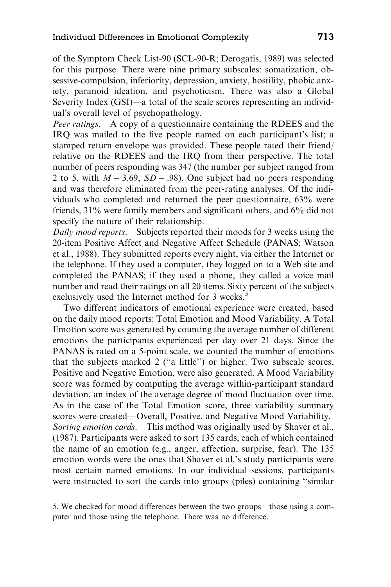of the Symptom Check List-90 (SCL-90-R; Derogatis, 1989) was selected for this purpose. There were nine primary subscales: somatization, obsessive-compulsion, inferiority, depression, anxiety, hostility, phobic anxiety, paranoid ideation, and psychoticism. There was also a Global Severity Index (GSI)—a total of the scale scores representing an individual's overall level of psychopathology.

Peer ratings. A copy of a questionnaire containing the RDEES and the IRQ was mailed to the five people named on each participant's list; a stamped return envelope was provided. These people rated their friend/ relative on the RDEES and the IRQ from their perspective. The total number of peers responding was 347 (the number per subject ranged from 2 to 5, with  $M = 3.69$ ,  $SD = .98$ ). One subject had no peers responding and was therefore eliminated from the peer-rating analyses. Of the individuals who completed and returned the peer questionnaire, 63% were friends, 31% were family members and significant others, and 6% did not specify the nature of their relationship.

Daily mood reports. Subjects reported their moods for 3 weeks using the 20-item Positive Affect and Negative Affect Schedule (PANAS; Watson et al., 1988). They submitted reports every night, via either the Internet or the telephone. If they used a computer, they logged on to a Web site and completed the PANAS; if they used a phone, they called a voice mail number and read their ratings on all 20 items. Sixty percent of the subjects exclusively used the Internet method for 3 weeks.<sup>5</sup>

Two different indicators of emotional experience were created, based on the daily mood reports: Total Emotion and Mood Variability. A Total Emotion score was generated by counting the average number of different emotions the participants experienced per day over 21 days. Since the PANAS is rated on a 5-point scale, we counted the number of emotions that the subjects marked 2 (''a little'') or higher. Two subscale scores, Positive and Negative Emotion, were also generated. A Mood Variability score was formed by computing the average within-participant standard deviation, an index of the average degree of mood fluctuation over time. As in the case of the Total Emotion score, three variability summary scores were created—Overall, Positive, and Negative Mood Variability. Sorting emotion cards. This method was originally used by Shaver et al., (1987). Participants were asked to sort 135 cards, each of which contained the name of an emotion (e.g., anger, affection, surprise, fear). The 135 emotion words were the ones that Shaver et al.'s study participants were most certain named emotions. In our individual sessions, participants were instructed to sort the cards into groups (piles) containing ''similar

5. We checked for mood differences between the two groups—those using a computer and those using the telephone. There was no difference.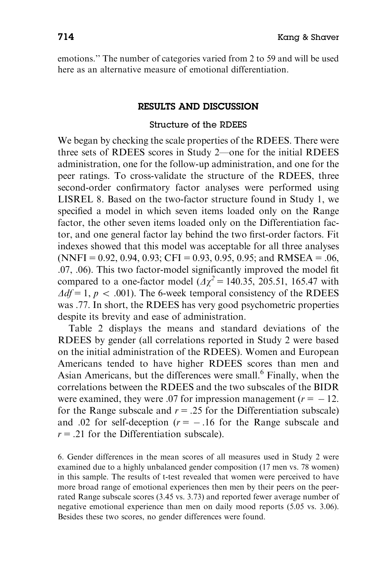emotions.'' The number of categories varied from 2 to 59 and will be used here as an alternative measure of emotional differentiation.

#### RESULTS AND DISCUSSION

## Structure of the RDEES

We began by checking the scale properties of the RDEES. There were three sets of RDEES scores in Study 2—one for the initial RDEES administration, one for the follow-up administration, and one for the peer ratings. To cross-validate the structure of the RDEES, three second-order confirmatory factor analyses were performed using LISREL 8. Based on the two-factor structure found in Study 1, we specified a model in which seven items loaded only on the Range factor, the other seven items loaded only on the Differentiation factor, and one general factor lay behind the two first-order factors. Fit indexes showed that this model was acceptable for all three analyses  $(NNFI = 0.92, 0.94, 0.93; CFI = 0.93, 0.95, 0.95; and RMSEA = .06,$ .07, .06). This two factor-model significantly improved the model fit compared to a one-factor model ( $\Delta\chi^2$  = 140.35, 205.51, 165.47 with  $\Delta df = 1$ ,  $p < .001$ ). The 6-week temporal consistency of the RDEES was .77. In short, the RDEES has very good psychometric properties despite its brevity and ease of administration.

Table 2 displays the means and standard deviations of the RDEES by gender (all correlations reported in Study 2 were based on the initial administration of the RDEES). Women and European Americans tended to have higher RDEES scores than men and Asian Americans, but the differences were small.<sup>6</sup> Finally, when the correlations between the RDEES and the two subscales of the BIDR were examined, they were .07 for impression management  $(r = -12$ . for the Range subscale and  $r = .25$  for the Differentiation subscale) and .02 for self-deception ( $r = -.16$  for the Range subscale and  $r = .21$  for the Differentiation subscale).

6. Gender differences in the mean scores of all measures used in Study 2 were examined due to a highly unbalanced gender composition (17 men vs. 78 women) in this sample. The results of t-test revealed that women were perceived to have more broad range of emotional experiences then men by their peers on the peerrated Range subscale scores (3.45 vs. 3.73) and reported fewer average number of negative emotional experience than men on daily mood reports (5.05 vs. 3.06). Besides these two scores, no gender differences were found.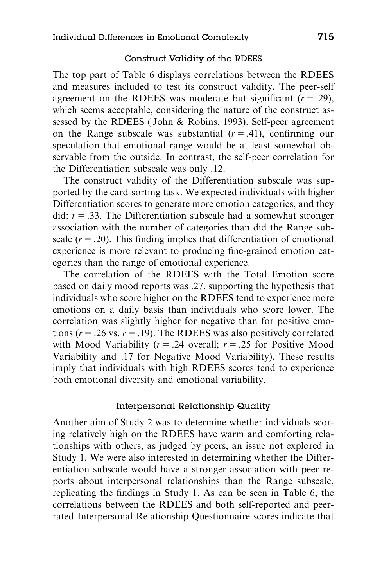#### Construct Validity of the RDEES

The top part of Table 6 displays correlations between the RDEES and measures included to test its construct validity. The peer-self agreement on the RDEES was moderate but significant  $(r = .29)$ , which seems acceptable, considering the nature of the construct assessed by the RDEES ( John & Robins, 1993). Self-peer agreement on the Range subscale was substantial  $(r = .41)$ , confirming our speculation that emotional range would be at least somewhat observable from the outside. In contrast, the self-peer correlation for the Differentiation subscale was only .12.

The construct validity of the Differentiation subscale was supported by the card-sorting task. We expected individuals with higher Differentiation scores to generate more emotion categories, and they did:  $r = .33$ . The Differentiation subscale had a somewhat stronger association with the number of categories than did the Range subscale  $(r = .20)$ . This finding implies that differentiation of emotional experience is more relevant to producing fine-grained emotion categories than the range of emotional experience.

The correlation of the RDEES with the Total Emotion score based on daily mood reports was .27, supporting the hypothesis that individuals who score higher on the RDEES tend to experience more emotions on a daily basis than individuals who score lower. The correlation was slightly higher for negative than for positive emotions ( $r = .26$  vs.  $r = .19$ ). The RDEES was also positively correlated with Mood Variability ( $r = .24$  overall;  $r = .25$  for Positive Mood Variability and .17 for Negative Mood Variability). These results imply that individuals with high RDEES scores tend to experience both emotional diversity and emotional variability.

## Interpersonal Relationship Quality

Another aim of Study 2 was to determine whether individuals scoring relatively high on the RDEES have warm and comforting relationships with others, as judged by peers, an issue not explored in Study 1. We were also interested in determining whether the Differentiation subscale would have a stronger association with peer reports about interpersonal relationships than the Range subscale, replicating the findings in Study 1. As can be seen in Table 6, the correlations between the RDEES and both self-reported and peerrated Interpersonal Relationship Questionnaire scores indicate that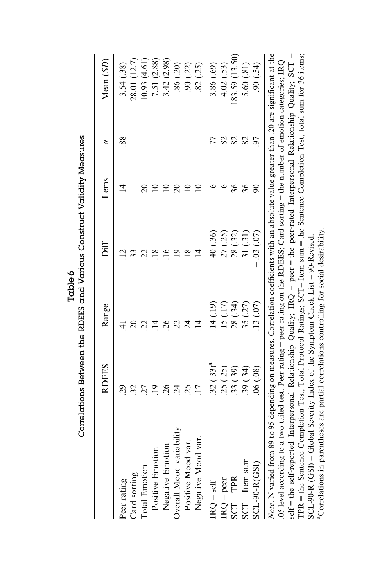|                          | <b>RDEES</b>    | Range      | Diff             | Items | S  | Mean (SD)                |
|--------------------------|-----------------|------------|------------------|-------|----|--------------------------|
| Peer rating              |                 |            |                  | 4     | 88 | 3.54 (.38)               |
| Card sorting             |                 |            |                  |       |    | 28.01(12.7)              |
| <b>Total Emotion</b>     |                 |            |                  |       |    | (0.93(4.61)              |
| Positive Emotion         |                 |            | $\frac{8}{18}$   |       |    | 7.51 (2.88)              |
| Negative Emotion         |                 |            |                  |       |    | 3.42(2.98)               |
| Overall Mood variability | ूप              |            | $\ddot{a}$       |       |    | .86(.20)                 |
| Positive Mood var.       | 25              | $\ddot{c}$ | $\overline{.18}$ |       |    |                          |
| Negative Mood var        |                 |            | $\frac{4}{3}$    |       |    | $.90(.22)$<br>$.82(.25)$ |
| $IRQ - self$             | $32 (0.33)^{a}$ | 14(19)     | (36)             |       | 77 | 3.86 (.69)               |
| $IRQ - peer$             | .25(.25)        | (15)(17)   | .27(.25)         |       | 82 | 4.02(.53)                |
| $SCT - TPR$              | 33 (.39)        | .28(.34)   | .28(.32)         |       | 82 | 83.59 (13.50)            |
| $SCT - Item sum$         | .39(.34)        | .35(.27)   | .31(.31)         |       | 82 | 5.60 (.81)               |
| $SCL-90-R(GST)$          | (0.08)          | 13(07)     | (0.01, 0.07)     |       |    | $(.54)$ $09$ .           |
|                          |                 |            |                  |       |    |                          |

Correlations Between the RDEES and Various Construct Validity Measures Correlations Between the RDEES and Various Construct Validity Measures Table 6

Note. N varied from 89 to 95 depending on measures. Correlation coefficients with an absolute value greater than .20 are significant at the .05 level according to a two-tailed test. Peer rating = peer rating on the RDEES; Card sorting = the number of emotion categories; IRQ - $\text{TPR} = \text{the sentence Completion Test}, \text{Total Protocol Ratings}, \text{SCT}-\text{Item sum} = \text{the sentence Completion Test}, \text{total sum for 36 items};$ .05 level according to a two-tailed test. Peer rating = peer rating on the RDEES; Card sorting = the number of emotion categories; IRQ – self = the self-reported Interpersonal Relationship Quality; IRQ - peer = the peer-rated Interpersonal Relationship Quality; SCT self = the self-reported Interpersonal Relationship Quality; IRQ – peer = the peer-rated Interpersonal Relationship Quality; SCT – Note. N varied from 89 to 95 depending on measures. Correlation coefficients with an absolute value greater than .20 are significant at the TPR = the Sentence Completion Test, Total Protocol Ratings; SCT– Item sum = the Sentence Completion Test, total sum for 36 items; <sup>1</sup>Correlations in parentheses are partial correlations controlling for social desirability. aCorrelations in parentheses are partial correlations controlling for social desirability.SCL-90-R (GSI) = Global Severity Index of the Symptom Check List - 90-Revised.  $SCL-90-R$  (GSI) = Global Severity Index of the Symptom Check List – 90-Revised.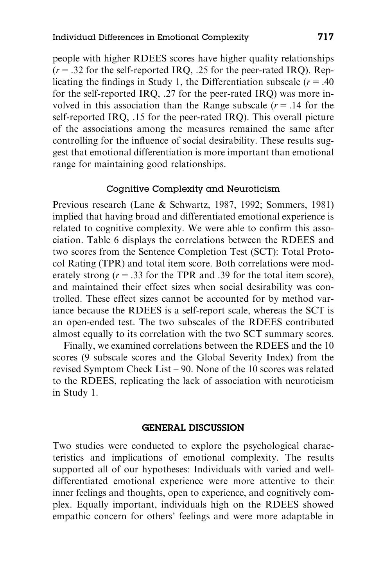people with higher RDEES scores have higher quality relationships  $(r = .32$  for the self-reported IRQ, .25 for the peer-rated IRQ). Replicating the findings in Study 1, the Differentiation subscale  $(r = .40)$ for the self-reported IRQ, .27 for the peer-rated IRQ) was more involved in this association than the Range subscale  $(r = .14$  for the self-reported IRQ, .15 for the peer-rated IRQ). This overall picture of the associations among the measures remained the same after controlling for the influence of social desirability. These results suggest that emotional differentiation is more important than emotional range for maintaining good relationships.

## Cognitive Complexity and Neuroticism

Previous research (Lane & Schwartz, 1987, 1992; Sommers, 1981) implied that having broad and differentiated emotional experience is related to cognitive complexity. We were able to confirm this association. Table 6 displays the correlations between the RDEES and two scores from the Sentence Completion Test (SCT): Total Protocol Rating (TPR) and total item score. Both correlations were moderately strong  $(r = .33$  for the TPR and .39 for the total item score), and maintained their effect sizes when social desirability was controlled. These effect sizes cannot be accounted for by method variance because the RDEES is a self-report scale, whereas the SCT is an open-ended test. The two subscales of the RDEES contributed almost equally to its correlation with the two SCT summary scores.

Finally, we examined correlations between the RDEES and the 10 scores (9 subscale scores and the Global Severity Index) from the revised Symptom Check List – 90. None of the 10 scores was related to the RDEES, replicating the lack of association with neuroticism in Study 1.

## GENERAL DISCUSSION

Two studies were conducted to explore the psychological characteristics and implications of emotional complexity. The results supported all of our hypotheses: Individuals with varied and welldifferentiated emotional experience were more attentive to their inner feelings and thoughts, open to experience, and cognitively complex. Equally important, individuals high on the RDEES showed empathic concern for others' feelings and were more adaptable in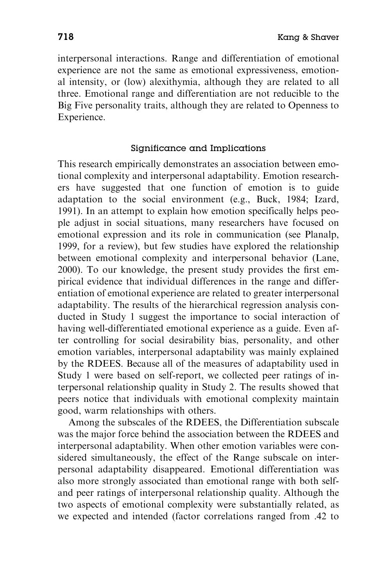interpersonal interactions. Range and differentiation of emotional experience are not the same as emotional expressiveness, emotional intensity, or (low) alexithymia, although they are related to all three. Emotional range and differentiation are not reducible to the Big Five personality traits, although they are related to Openness to Experience.

## Significance and Implications

This research empirically demonstrates an association between emotional complexity and interpersonal adaptability. Emotion researchers have suggested that one function of emotion is to guide adaptation to the social environment (e.g., Buck, 1984; Izard, 1991). In an attempt to explain how emotion specifically helps people adjust in social situations, many researchers have focused on emotional expression and its role in communication (see Planalp, 1999, for a review), but few studies have explored the relationship between emotional complexity and interpersonal behavior (Lane, 2000). To our knowledge, the present study provides the first empirical evidence that individual differences in the range and differentiation of emotional experience are related to greater interpersonal adaptability. The results of the hierarchical regression analysis conducted in Study 1 suggest the importance to social interaction of having well-differentiated emotional experience as a guide. Even after controlling for social desirability bias, personality, and other emotion variables, interpersonal adaptability was mainly explained by the RDEES. Because all of the measures of adaptability used in Study 1 were based on self-report, we collected peer ratings of interpersonal relationship quality in Study 2. The results showed that peers notice that individuals with emotional complexity maintain good, warm relationships with others.

Among the subscales of the RDEES, the Differentiation subscale was the major force behind the association between the RDEES and interpersonal adaptability. When other emotion variables were considered simultaneously, the effect of the Range subscale on interpersonal adaptability disappeared. Emotional differentiation was also more strongly associated than emotional range with both selfand peer ratings of interpersonal relationship quality. Although the two aspects of emotional complexity were substantially related, as we expected and intended (factor correlations ranged from .42 to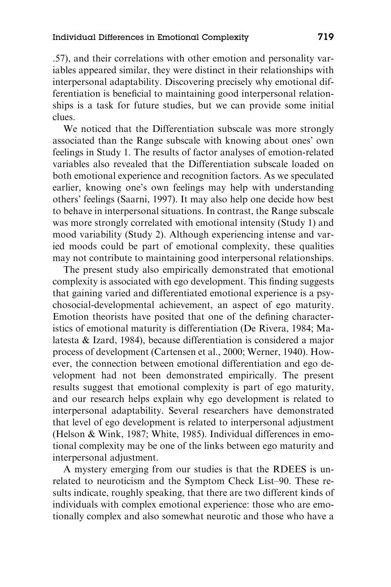.57), and their correlations with other emotion and personality variables appeared similar, they were distinct in their relationships with interpersonal adaptability. Discovering precisely why emotional differentiation is beneficial to maintaining good interpersonal relationships is a task for future studies, but we can provide some initial clues.

We noticed that the Differentiation subscale was more strongly associated than the Range subscale with knowing about ones' own feelings in Study 1. The results of factor analyses of emotion-related variables also revealed that the Differentiation subscale loaded on both emotional experience and recognition factors. As we speculated earlier, knowing one's own feelings may help with understanding others' feelings (Saarni, 1997). It may also help one decide how best to behave in interpersonal situations. In contrast, the Range subscale was more strongly correlated with emotional intensity (Study 1) and mood variability (Study 2). Although experiencing intense and varied moods could be part of emotional complexity, these qualities may not contribute to maintaining good interpersonal relationships.

The present study also empirically demonstrated that emotional complexity is associated with ego development. This finding suggests that gaining varied and differentiated emotional experience is a psychosocial-developmental achievement, an aspect of ego maturity. Emotion theorists have posited that one of the defining characteristics of emotional maturity is differentiation (De Rivera, 1984; Malatesta & Izard, 1984), because differentiation is considered a major process of development (Cartensen et al., 2000; Werner, 1940). However, the connection between emotional differentiation and ego development had not been demonstrated empirically. The present results suggest that emotional complexity is part of ego maturity, and our research helps explain why ego development is related to interpersonal adaptability. Several researchers have demonstrated that level of ego development is related to interpersonal adjustment (Helson & Wink, 1987; White, 1985). Individual differences in emotional complexity may be one of the links between ego maturity and interpersonal adjustment.

A mystery emerging from our studies is that the RDEES is unrelated to neuroticism and the Symptom Check List–90. These results indicate, roughly speaking, that there are two different kinds of individuals with complex emotional experience: those who are emotionally complex and also somewhat neurotic and those who have a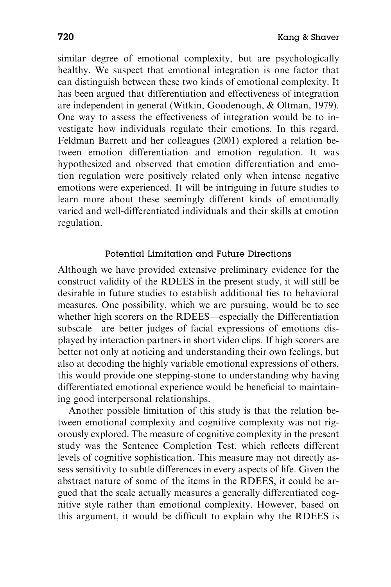similar degree of emotional complexity, but are psychologically healthy. We suspect that emotional integration is one factor that can distinguish between these two kinds of emotional complexity. It has been argued that differentiation and effectiveness of integration are independent in general (Witkin, Goodenough, & Oltman, 1979). One way to assess the effectiveness of integration would be to investigate how individuals regulate their emotions. In this regard, Feldman Barrett and her colleagues (2001) explored a relation between emotion differentiation and emotion regulation. It was hypothesized and observed that emotion differentiation and emotion regulation were positively related only when intense negative emotions were experienced. It will be intriguing in future studies to learn more about these seemingly different kinds of emotionally varied and well-differentiated individuals and their skills at emotion regulation.

## Potential Limitation and Future Directions

Although we have provided extensive preliminary evidence for the construct validity of the RDEES in the present study, it will still be desirable in future studies to establish additional ties to behavioral measures. One possibility, which we are pursuing, would be to see whether high scorers on the RDEES—especially the Differentiation subscale—are better judges of facial expressions of emotions displayed by interaction partners in short video clips. If high scorers are better not only at noticing and understanding their own feelings, but also at decoding the highly variable emotional expressions of others, this would provide one stepping-stone to understanding why having differentiated emotional experience would be beneficial to maintaining good interpersonal relationships.

Another possible limitation of this study is that the relation between emotional complexity and cognitive complexity was not rigorously explored. The measure of cognitive complexity in the present study was the Sentence Completion Test, which reflects different levels of cognitive sophistication. This measure may not directly assess sensitivity to subtle differences in every aspects of life. Given the abstract nature of some of the items in the RDEES, it could be argued that the scale actually measures a generally differentiated cognitive style rather than emotional complexity. However, based on this argument, it would be difficult to explain why the RDEES is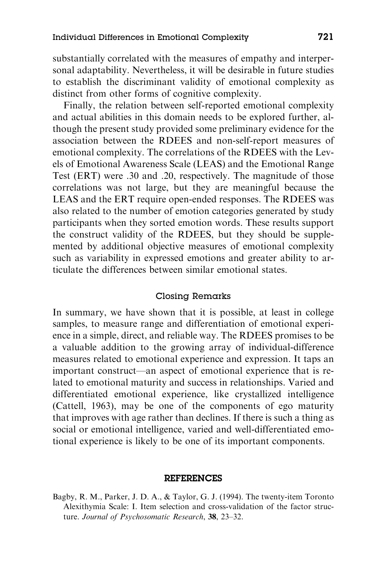substantially correlated with the measures of empathy and interpersonal adaptability. Nevertheless, it will be desirable in future studies to establish the discriminant validity of emotional complexity as distinct from other forms of cognitive complexity.

Finally, the relation between self-reported emotional complexity and actual abilities in this domain needs to be explored further, although the present study provided some preliminary evidence for the association between the RDEES and non-self-report measures of emotional complexity. The correlations of the RDEES with the Levels of Emotional Awareness Scale (LEAS) and the Emotional Range Test (ERT) were .30 and .20, respectively. The magnitude of those correlations was not large, but they are meaningful because the LEAS and the ERT require open-ended responses. The RDEES was also related to the number of emotion categories generated by study participants when they sorted emotion words. These results support the construct validity of the RDEES, but they should be supplemented by additional objective measures of emotional complexity such as variability in expressed emotions and greater ability to articulate the differences between similar emotional states.

#### Closing Remarks

In summary, we have shown that it is possible, at least in college samples, to measure range and differentiation of emotional experience in a simple, direct, and reliable way. The RDEES promises to be a valuable addition to the growing array of individual-difference measures related to emotional experience and expression. It taps an important construct—an aspect of emotional experience that is related to emotional maturity and success in relationships. Varied and differentiated emotional experience, like crystallized intelligence (Cattell, 1963), may be one of the components of ego maturity that improves with age rather than declines. If there is such a thing as social or emotional intelligence, varied and well-differentiated emotional experience is likely to be one of its important components.

#### REFERENCES

Bagby, R. M., Parker, J. D. A., & Taylor, G. J. (1994). The twenty-item Toronto Alexithymia Scale: I. Item selection and cross-validation of the factor structure. Journal of Psychosomatic Research, 38, 23-32.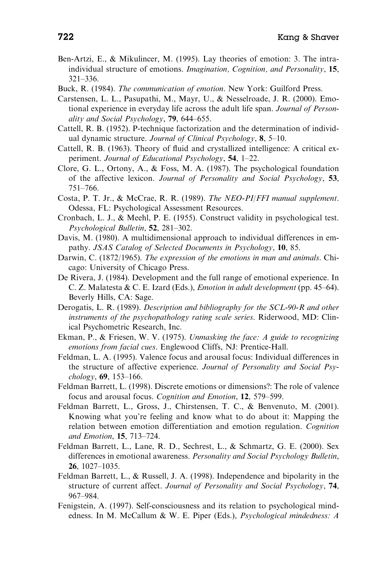- Ben-Artzi, E., & Mikulincer, M. (1995). Lay theories of emotion: 3. The intraindividual structure of emotions. Imagination, Cognition, and Personality, 15, 321–336.
- Buck, R. (1984). The communication of emotion. New York: Guilford Press.
- Carstensen, L. L., Pasupathi, M., Mayr, U., & Nesselroade, J. R. (2000). Emotional experience in everyday life across the adult life span. Journal of Personality and Social Psychology, 79, 644–655.
- Cattell, R. B. (1952). P-technique factorization and the determination of individual dynamic structure. Journal of Clinical Psychology, 8, 5–10.
- Cattell, R. B. (1963). Theory of fluid and crystallized intelligence: A critical experiment. Journal of Educational Psychology, 54, 1–22.
- Clore, G. L., Ortony, A., & Foss, M. A. (1987). The psychological foundation of the affective lexicon. Journal of Personality and Social Psychology, 53, 751–766.
- Costa, P. T. Jr., & McCrae, R. R. (1989). The NEO-PI/FFI manual supplement. Odessa, FL: Psychological Assessment Resources.
- Cronbach, L. J., & Meehl, P. E. (1955). Construct validity in psychological test. Psychological Bulletin, 52, 281–302.
- Davis, M. (1980). A multidimensional approach to individual differences in empathy. JSAS Catalog of Selected Documents in Psychology, 10, 85.
- Darwin, C. (1872/1965). The expression of the emotions in man and animals. Chicago: University of Chicago Press.
- De Rivera, J. (1984). Development and the full range of emotional experience. In C. Z. Malatesta & C. E. Izard (Eds.), Emotion in adult development (pp. 45–64). Beverly Hills, CA: Sage.
- Derogatis, L. R. (1989). Description and bibliography for the SCL-90-R and other instruments of the psychopathology rating scale series. Riderwood, MD: Clinical Psychometric Research, Inc.
- Ekman, P., & Friesen, W. V. (1975). Unmasking the face: A guide to recognizing emotions from facial cues. Englewood Cliffs, NJ: Prentice-Hall.
- Feldman, L. A. (1995). Valence focus and arousal focus: Individual differences in the structure of affective experience. Journal of Personality and Social Psy $chology, 69, 153–166.$
- Feldman Barrett, L. (1998). Discrete emotions or dimensions?: The role of valence focus and arousal focus. Cognition and Emotion, 12, 579–599.
- Feldman Barrett, L., Gross, J., Chirstensen, T. C., & Benvenuto, M. (2001). Knowing what you're feeling and know what to do about it: Mapping the relation between emotion differentiation and emotion regulation. Cognition and Emotion, 15, 713–724.
- Feldman Barrett, L., Lane, R. D., Sechrest, L., & Schmartz, G. E. (2000). Sex differences in emotional awareness. Personality and Social Psychology Bulletin, 26, 1027–1035.
- Feldman Barrett, L., & Russell, J. A. (1998). Independence and bipolarity in the structure of current affect. Journal of Personality and Social Psychology, 74, 967–984.
- Fenigstein, A. (1997). Self-consciousness and its relation to psychological mindedness. In M. McCallum & W. E. Piper (Eds.), Psychological mindedness: A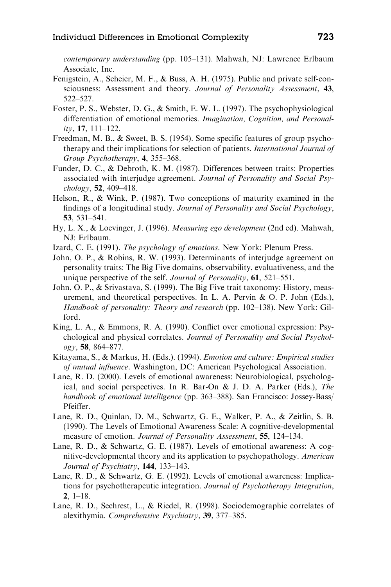contemporary understanding (pp. 105–131). Mahwah, NJ: Lawrence Erlbaum Associate, Inc.

- Fenigstein, A., Scheier, M. F., & Buss, A. H. (1975). Public and private self-consciousness: Assessment and theory. Journal of Personality Assessment, 43, 522–527.
- Foster, P. S., Webster, D. G., & Smith, E. W. L. (1997). The psychophysiological differentiation of emotional memories. Imagination, Cognition, and Personal $itv$ , 17, 111–122.
- Freedman, M. B., & Sweet, B. S. (1954). Some specific features of group psychotherapy and their implications for selection of patients. International Journal of Group Psychotherapy, 4, 355–368.
- Funder, D. C., & Debroth, K. M. (1987). Differences between traits: Properties associated with interjudge agreement. Journal of Personality and Social Psy $chology, 52, 409-418.$
- Helson, R., & Wink, P. (1987). Two conceptions of maturity examined in the findings of a longitudinal study. Journal of Personality and Social Psychology, 53, 531–541.
- Hy, L. X., & Loevinger, J. (1996). Measuring ego development (2nd ed). Mahwah, NJ: Erlbaum.
- Izard, C. E. (1991). The psychology of emotions. New York: Plenum Press.
- John, O. P., & Robins, R. W. (1993). Determinants of interjudge agreement on personality traits: The Big Five domains, observability, evaluativeness, and the unique perspective of the self. Journal of Personality, 61, 521–551.
- John, O. P., & Srivastava, S. (1999). The Big Five trait taxonomy: History, measurement, and theoretical perspectives. In L. A. Pervin  $\&$  O. P. John (Eds.), Handbook of personality: Theory and research (pp. 102–138). New York: Gilford.
- King, L. A., & Emmons, R. A. (1990). Conflict over emotional expression: Psychological and physical correlates. Journal of Personality and Social Psychol $ogy, 58, 864-877.$
- Kitayama, S., & Markus, H. (Eds.). (1994). Emotion and culture: Empirical studies of mutual influence. Washington, DC: American Psychological Association.
- Lane, R. D. (2000). Levels of emotional awareness: Neurobiological, psychological, and social perspectives. In R. Bar-On & J. D. A. Parker (Eds.), The handbook of emotional intelligence (pp. 363–388). San Francisco: Jossey-Bass/ Pfeiffer.
- Lane, R. D., Quinlan, D. M., Schwartz, G. E., Walker, P. A., & Zeitlin, S. B. (1990). The Levels of Emotional Awareness Scale: A cognitive-developmental measure of emotion. Journal of Personality Assessment, 55, 124–134.
- Lane, R. D., & Schwartz, G. E. (1987). Levels of emotional awareness: A cognitive-developmental theory and its application to psychopathology. American Journal of Psychiatry, 144, 133-143.
- Lane, R. D., & Schwartz, G. E. (1992). Levels of emotional awareness: Implications for psychotherapeutic integration. Journal of Psychotherapy Integration,  $2, 1-18.$
- Lane, R. D., Sechrest, L., & Riedel, R. (1998). Sociodemographic correlates of alexithymia. Comprehensive Psychiatry, 39, 377–385.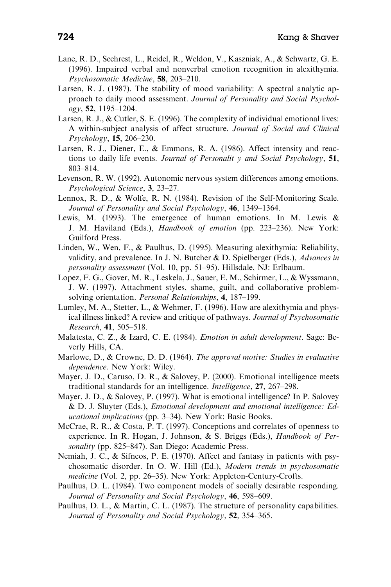- Lane, R. D., Sechrest, L., Reidel, R., Weldon, V., Kaszniak, A., & Schwartz, G. E. (1996). Impaired verbal and nonverbal emotion recognition in alexithymia. Psychosomatic Medicine, 58, 203–210.
- Larsen, R. J. (1987). The stability of mood variability: A spectral analytic approach to daily mood assessment. Journal of Personality and Social Psychol- $\log y$ , 52, 1195–1204.
- Larsen, R. J., & Cutler, S. E. (1996). The complexity of individual emotional lives: A within-subject analysis of affect structure. Journal of Social and Clinical Psychology, 15, 206–230.
- Larsen, R. J., Diener, E., & Emmons, R. A. (1986). Affect intensity and reactions to daily life events. Journal of Personalit y and Social Psychology, 51, 803–814.
- Levenson, R. W. (1992). Autonomic nervous system differences among emotions. Psychological Science, 3, 23–27.
- Lennox, R. D., & Wolfe, R. N. (1984). Revision of the Self-Monitoring Scale. Journal of Personality and Social Psychology, 46, 1349–1364.
- Lewis, M. (1993). The emergence of human emotions. In M. Lewis & J. M. Haviland (Eds.), Handbook of emotion (pp. 223–236). New York: Guilford Press.
- Linden, W., Wen, F., & Paulhus, D. (1995). Measuring alexithymia: Reliability, validity, and prevalence. In J. N. Butcher & D. Spielberger (Eds.), Advances in personality assessment (Vol. 10, pp. 51–95). Hillsdale, NJ: Erlbaum.
- Lopez, F. G., Gover, M. R., Leskela, J., Sauer, E. M., Schirmer, L., & Wyssmann, J. W. (1997). Attachment styles, shame, guilt, and collaborative problemsolving orientation. Personal Relationships, 4, 187-199.
- Lumley, M. A., Stetter, L., & Wehmer, F. (1996). How are alexithymia and physical illness linked? A review and critique of pathways. Journal of Psychosomatic Research, 41, 505–518.
- Malatesta, C. Z., & Izard, C. E. (1984). Emotion in adult development. Sage: Beverly Hills, CA.
- Marlowe, D., & Crowne, D. D. (1964). The approval motive: Studies in evaluative dependence. New York: Wiley.
- Mayer, J. D., Caruso, D. R., & Salovey, P. (2000). Emotional intelligence meets traditional standards for an intelligence. Intelligence, 27, 267–298.
- Mayer, J. D., & Salovey, P. (1997). What is emotional intelligence? In P. Salovey & D. J. Sluyter (Eds.), Emotional development and emotional intelligence: Educational implications (pp. 3–34). New York: Basic Books.
- McCrae, R. R., & Costa, P. T. (1997). Conceptions and correlates of openness to experience. In R. Hogan, J. Johnson, & S. Briggs (Eds.), Handbook of Personality (pp. 825–847). San Diego: Academic Press.
- Nemiah, J. C., & Sifneos, P. E. (1970). Affect and fantasy in patients with psychosomatic disorder. In O. W. Hill (Ed.), Modern trends in psychosomatic medicine (Vol. 2, pp. 26–35). New York: Appleton-Century-Crofts.
- Paulhus, D. L. (1984). Two component models of socially desirable responding. Journal of Personality and Social Psychology, 46, 598–609.
- Paulhus, D. L., & Martin, C. L. (1987). The structure of personality capabilities. Journal of Personality and Social Psychology, 52, 354–365.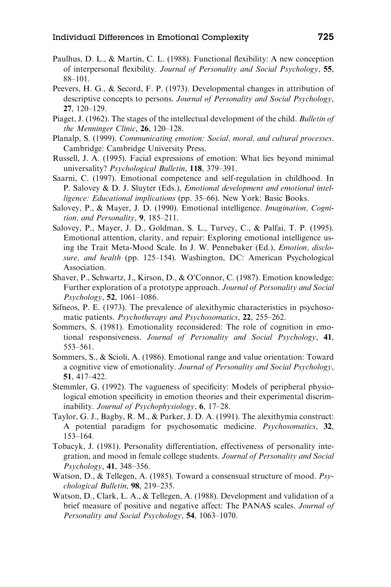- Paulhus, D. L., & Martin, C. L. (1988). Functional flexibility: A new conception of interpersonal flexibility. Journal of Personality and Social Psychology, 55, 88–101.
- Peevers, H. G., & Secord, F. P. (1973). Developmental changes in attribution of descriptive concepts to persons. Journal of Personality and Social Psychology, 27, 120–129.
- Piaget, J. (1962). The stages of the intellectual development of the child. Bulletin of the Menninger Clinic,  $26$ ,  $120-128$ .
- Planalp, S. (1999). Communicating emotion: Social, moral, and cultural processes. Cambridge: Cambridge University Press.
- Russell, J. A. (1995). Facial expressions of emotion: What lies beyond minimal universality? Psychological Bulletin, 118, 379-391.
- Saarni, C. (1997). Emotional competence and self-regulation in childhood. In P. Salovey & D. J. Sluyter (Eds.), Emotional development and emotional intelligence: Educational implications (pp. 35–66). New York: Basic Books.
- Salovey, P., & Mayer, J. D. (1990). Emotional intelligence. Imagination, Cognition, and Personality,  $9, 185-211$ .
- Salovey, P., Mayer, J. D., Goldman, S. L., Turvey, C., & Palfai, T. P. (1995). Emotional attention, clarity, and repair: Exploring emotional intelligence using the Trait Meta-Mood Scale. In J. W. Pennebaker (Ed.), *Emotion, disclo*sure, and health (pp. 125–154). Washington, DC: American Psychological Association.
- Shaver, P., Schwartz, J., Kirson, D., & O'Connor, C. (1987). Emotion knowledge: Further exploration of a prototype approach. Journal of Personality and Social  $Psychology, 52, 1061–1086.$
- Sifneos, P. E. (1973). The prevalence of alexithymic characteristics in psychosomatic patients. Psychotherapy and Psychosomatics, 22, 255-262.
- Sommers, S. (1981). Emotionality reconsidered: The role of cognition in emotional responsiveness. Journal of Personality and Social Psychology, 41, 553–561.
- Sommers, S., & Scioli, A. (1986). Emotional range and value orientation: Toward a cognitive view of emotionality. Journal of Personality and Social Psychology, 51, 417–422.
- Stemmler, G. (1992). The vagueness of specificity: Models of peripheral physiological emotion specificity in emotion theories and their experimental discriminability. Journal of Psychophysiology,  $6$ , 17–28.
- Taylor, G. J., Bagby, R. M., & Parker, J. D. A. (1991). The alexithymia construct: A potential paradigm for psychosomatic medicine. Psychosomatics, 32, 153–164.
- Tobacyk, J. (1981). Personality differentiation, effectiveness of personality integration, and mood in female college students. Journal of Personality and Social Psychology, 41, 348–356.
- Watson, D., & Tellegen, A. (1985). Toward a consensual structure of mood. Psychological Bulletin, 98, 219–235.
- Watson, D., Clark, L. A., & Tellegen, A. (1988). Development and validation of a brief measure of positive and negative affect: The PANAS scales. Journal of Personality and Social Psychology, 54, 1063-1070.